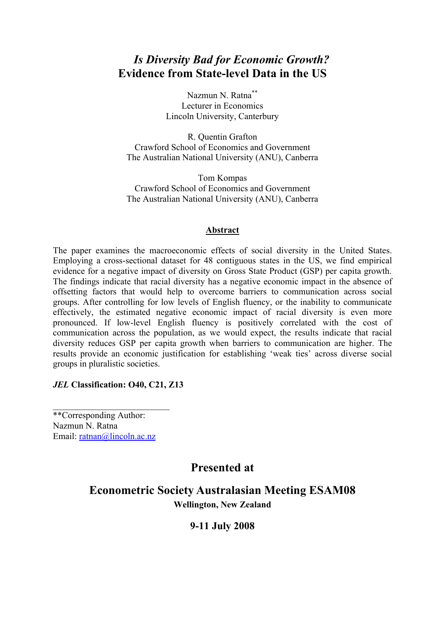# *Is Diversity Bad for Economic Growth?* **Evidence from State-level Data in the US**

Nazmun N. Ratna\*\* Lecturer in Economics Lincoln University, Canterbury

R. Quentin Grafton Crawford School of Economics and Government The Australian National University (ANU), Canberra

Tom Kompas Crawford School of Economics and Government The Australian National University (ANU), Canberra

#### **Abstract**

The paper examines the macroeconomic effects of social diversity in the United States. Employing a cross-sectional dataset for 48 contiguous states in the US, we find empirical evidence for a negative impact of diversity on Gross State Product (GSP) per capita growth. The findings indicate that racial diversity has a negative economic impact in the absence of offsetting factors that would help to overcome barriers to communication across social groups. After controlling for low levels of English fluency, or the inability to communicate effectively, the estimated negative economic impact of racial diversity is even more pronounced. If low-level English fluency is positively correlated with the cost of communication across the population, as we would expect, the results indicate that racial diversity reduces GSP per capita growth when barriers to communication are higher. The results provide an economic justification for establishing 'weak ties' across diverse social groups in pluralistic societies.

#### *JEL* **Classification: O40, C21, Z13**

\*\*Corresponding Author: Nazmun N. Ratna Email: ratnan@lincoln.ac.nz

\_\_\_\_\_\_\_\_\_\_\_\_\_\_\_\_\_\_\_\_\_\_\_\_\_\_

# **Presented at**

**Econometric Society Australasian Meeting ESAM08 Wellington, New Zealand** 

## **9-11 July 2008**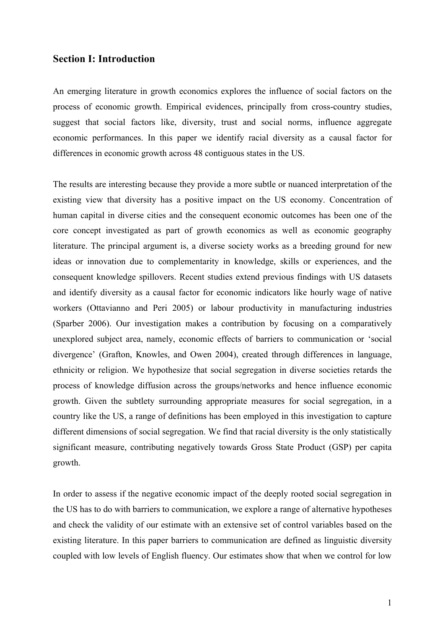## **Section I: Introduction**

An emerging literature in growth economics explores the influence of social factors on the process of economic growth. Empirical evidences, principally from cross-country studies, suggest that social factors like, diversity, trust and social norms, influence aggregate economic performances. In this paper we identify racial diversity as a causal factor for differences in economic growth across 48 contiguous states in the US.

The results are interesting because they provide a more subtle or nuanced interpretation of the existing view that diversity has a positive impact on the US economy. Concentration of human capital in diverse cities and the consequent economic outcomes has been one of the core concept investigated as part of growth economics as well as economic geography literature. The principal argument is, a diverse society works as a breeding ground for new ideas or innovation due to complementarity in knowledge, skills or experiences, and the consequent knowledge spillovers. Recent studies extend previous findings with US datasets and identify diversity as a causal factor for economic indicators like hourly wage of native workers (Ottavianno and Peri 2005) or labour productivity in manufacturing industries (Sparber 2006). Our investigation makes a contribution by focusing on a comparatively unexplored subject area, namely, economic effects of barriers to communication or 'social divergence' (Grafton, Knowles, and Owen 2004), created through differences in language, ethnicity or religion. We hypothesize that social segregation in diverse societies retards the process of knowledge diffusion across the groups/networks and hence influence economic growth. Given the subtlety surrounding appropriate measures for social segregation, in a country like the US, a range of definitions has been employed in this investigation to capture different dimensions of social segregation. We find that racial diversity is the only statistically significant measure, contributing negatively towards Gross State Product (GSP) per capita growth.

In order to assess if the negative economic impact of the deeply rooted social segregation in the US has to do with barriers to communication, we explore a range of alternative hypotheses and check the validity of our estimate with an extensive set of control variables based on the existing literature. In this paper barriers to communication are defined as linguistic diversity coupled with low levels of English fluency. Our estimates show that when we control for low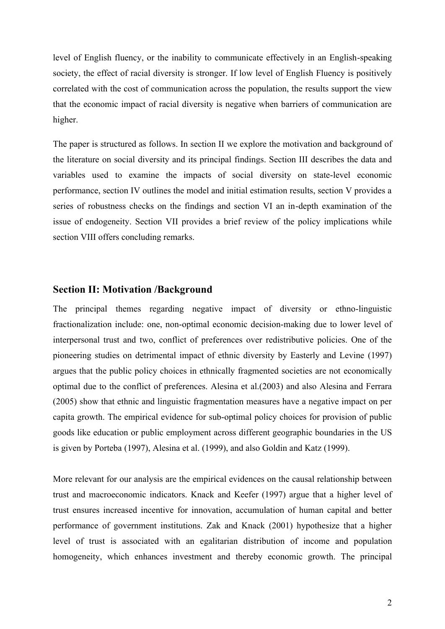level of English fluency, or the inability to communicate effectively in an English-speaking society, the effect of racial diversity is stronger. If low level of English Fluency is positively correlated with the cost of communication across the population, the results support the view that the economic impact of racial diversity is negative when barriers of communication are higher.

The paper is structured as follows. In section II we explore the motivation and background of the literature on social diversity and its principal findings. Section III describes the data and variables used to examine the impacts of social diversity on state-level economic performance, section IV outlines the model and initial estimation results, section V provides a series of robustness checks on the findings and section VI an in-depth examination of the issue of endogeneity. Section VII provides a brief review of the policy implications while section VIII offers concluding remarks.

## **Section II: Motivation /Background**

The principal themes regarding negative impact of diversity or ethno-linguistic fractionalization include: one, non-optimal economic decision-making due to lower level of interpersonal trust and two, conflict of preferences over redistributive policies. One of the pioneering studies on detrimental impact of ethnic diversity by Easterly and Levine (1997) argues that the public policy choices in ethnically fragmented societies are not economically optimal due to the conflict of preferences. Alesina et al.(2003) and also Alesina and Ferrara (2005) show that ethnic and linguistic fragmentation measures have a negative impact on per capita growth. The empirical evidence for sub-optimal policy choices for provision of public goods like education or public employment across different geographic boundaries in the US is given by Porteba (1997), Alesina et al. (1999), and also Goldin and Katz (1999).

More relevant for our analysis are the empirical evidences on the causal relationship between trust and macroeconomic indicators. Knack and Keefer (1997) argue that a higher level of trust ensures increased incentive for innovation, accumulation of human capital and better performance of government institutions. Zak and Knack (2001) hypothesize that a higher level of trust is associated with an egalitarian distribution of income and population homogeneity, which enhances investment and thereby economic growth. The principal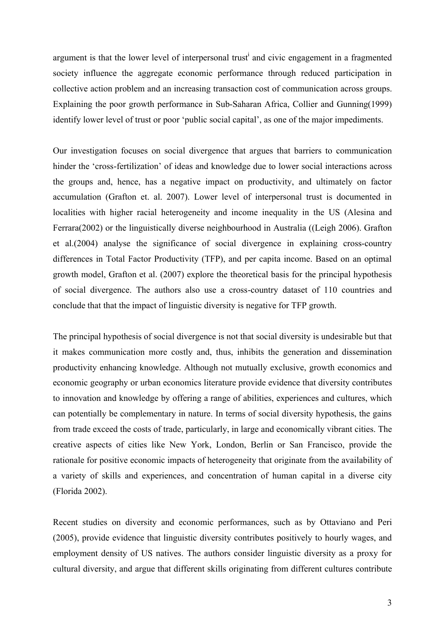argument is that the lower level of interpersonal trust<sup>i</sup> and civic engagement in a fragmented society influence the aggregate economic performance through reduced participation in collective action problem and an increasing transaction cost of communication across groups. Explaining the poor growth performance in Sub-Saharan Africa, Collier and Gunning(1999) identify lower level of trust or poor 'public social capital', as one of the major impediments.

Our investigation focuses on social divergence that argues that barriers to communication hinder the 'cross-fertilization' of ideas and knowledge due to lower social interactions across the groups and, hence, has a negative impact on productivity, and ultimately on factor accumulation (Grafton et. al. 2007). Lower level of interpersonal trust is documented in localities with higher racial heterogeneity and income inequality in the US (Alesina and Ferrara(2002) or the linguistically diverse neighbourhood in Australia ((Leigh 2006). Grafton et al.(2004) analyse the significance of social divergence in explaining cross-country differences in Total Factor Productivity (TFP), and per capita income. Based on an optimal growth model, Grafton et al. (2007) explore the theoretical basis for the principal hypothesis of social divergence. The authors also use a cross-country dataset of 110 countries and conclude that that the impact of linguistic diversity is negative for TFP growth.

The principal hypothesis of social divergence is not that social diversity is undesirable but that it makes communication more costly and, thus, inhibits the generation and dissemination productivity enhancing knowledge. Although not mutually exclusive, growth economics and economic geography or urban economics literature provide evidence that diversity contributes to innovation and knowledge by offering a range of abilities, experiences and cultures, which can potentially be complementary in nature. In terms of social diversity hypothesis, the gains from trade exceed the costs of trade, particularly, in large and economically vibrant cities. The creative aspects of cities like New York, London, Berlin or San Francisco, provide the rationale for positive economic impacts of heterogeneity that originate from the availability of a variety of skills and experiences, and concentration of human capital in a diverse city (Florida 2002).

Recent studies on diversity and economic performances, such as by Ottaviano and Peri (2005), provide evidence that linguistic diversity contributes positively to hourly wages, and employment density of US natives. The authors consider linguistic diversity as a proxy for cultural diversity, and argue that different skills originating from different cultures contribute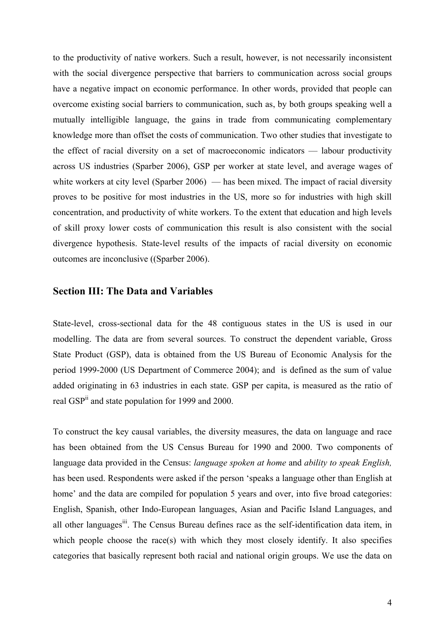to the productivity of native workers. Such a result, however, is not necessarily inconsistent with the social divergence perspective that barriers to communication across social groups have a negative impact on economic performance. In other words, provided that people can overcome existing social barriers to communication, such as, by both groups speaking well a mutually intelligible language, the gains in trade from communicating complementary knowledge more than offset the costs of communication. Two other studies that investigate to the effect of racial diversity on a set of macroeconomic indicators — labour productivity across US industries (Sparber 2006), GSP per worker at state level, and average wages of white workers at city level (Sparber 2006) — has been mixed. The impact of racial diversity proves to be positive for most industries in the US, more so for industries with high skill concentration, and productivity of white workers. To the extent that education and high levels of skill proxy lower costs of communication this result is also consistent with the social divergence hypothesis. State-level results of the impacts of racial diversity on economic outcomes are inconclusive ((Sparber 2006).

## **Section III: The Data and Variables**

State-level, cross-sectional data for the 48 contiguous states in the US is used in our modelling. The data are from several sources. To construct the dependent variable, Gross State Product (GSP), data is obtained from the US Bureau of Economic Analysis for the period 1999-2000 (US Department of Commerce 2004); and is defined as the sum of value added originating in 63 industries in each state. GSP per capita, is measured as the ratio of real GSP<sup>ii</sup> and state population for 1999 and 2000.

To construct the key causal variables, the diversity measures, the data on language and race has been obtained from the US Census Bureau for 1990 and 2000. Two components of language data provided in the Census: *language spoken at home* and *ability to speak English,*  has been used. Respondents were asked if the person 'speaks a language other than English at home' and the data are compiled for population 5 years and over, into five broad categories: English, Spanish, other Indo-European languages, Asian and Pacific Island Languages, and all other languages<sup>iii</sup>. The Census Bureau defines race as the self-identification data item, in which people choose the race(s) with which they most closely identify. It also specifies categories that basically represent both racial and national origin groups. We use the data on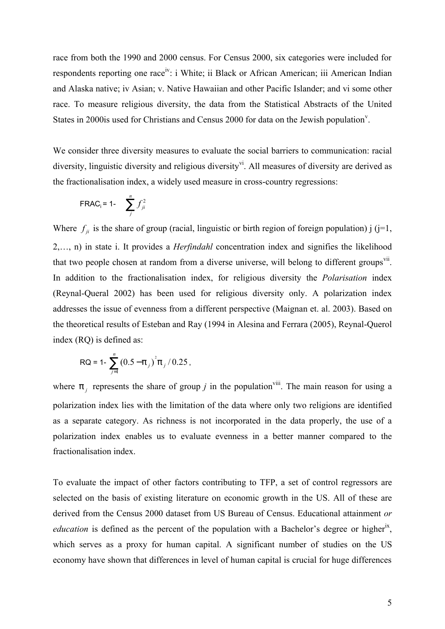race from both the 1990 and 2000 census. For Census 2000, six categories were included for respondents reporting one race<sup>iv</sup>: i White; ii Black or African American; iii American Indian and Alaska native; iv Asian; v. Native Hawaiian and other Pacific Islander; and vi some other race. To measure religious diversity, the data from the Statistical Abstracts of the United States in 2000is used for Christians and Census 2000 for data on the Jewish population<sup>v</sup>.

We consider three diversity measures to evaluate the social barriers to communication: racial diversity, linguistic diversity and religious diversity<sup>vi</sup>. All measures of diversity are derived as the fractionalisation index, a widely used measure in cross-country regressions:

$$
\mathsf{FRAC}_{\mathsf{i}} = 1 - \sum_{j}^{n} f_{ji}^{2}
$$

Where  $f_{ji}$  is the share of group (racial, linguistic or birth region of foreign population) j (j=1, 2,…, n) in state i. It provides a *Herfindahl* concentration index and signifies the likelihood that two people chosen at random from a diverse universe, will belong to different groups<sup>vii</sup>. In addition to the fractionalisation index, for religious diversity the *Polarisation* index (Reynal-Queral 2002) has been used for religious diversity only. A polarization index addresses the issue of evenness from a different perspective (Maignan et. al. 2003). Based on the theoretical results of Esteban and Ray (1994 in Alesina and Ferrara (2005), Reynal-Querol index (RQ) is defined as:

$$
RQ = 1 - \sum_{j=1}^{n} (0.5 - p_j)^2 p_j / 0.25,
$$

where  $p_j$  represents the share of group *j* in the population<sup>viii</sup>. The main reason for using a polarization index lies with the limitation of the data where only two religions are identified as a separate category. As richness is not incorporated in the data properly, the use of a polarization index enables us to evaluate evenness in a better manner compared to the fractionalisation index.

To evaluate the impact of other factors contributing to TFP, a set of control regressors are selected on the basis of existing literature on economic growth in the US. All of these are derived from the Census 2000 dataset from US Bureau of Census. Educational attainment *or*  education is defined as the percent of the population with a Bachelor's degree or higher<sup>ix</sup>, which serves as a proxy for human capital. A significant number of studies on the US economy have shown that differences in level of human capital is crucial for huge differences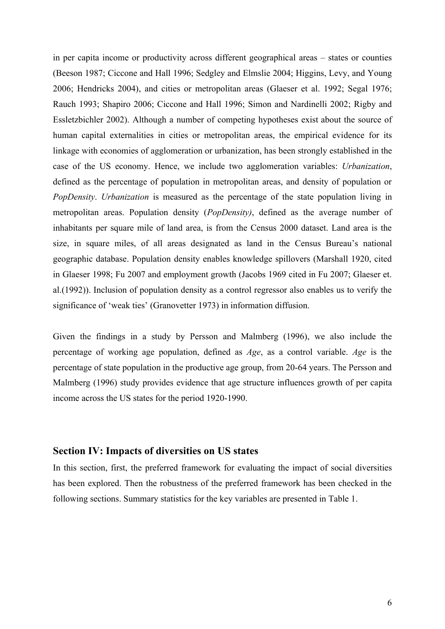in per capita income or productivity across different geographical areas – states or counties (Beeson 1987; Ciccone and Hall 1996; Sedgley and Elmslie 2004; Higgins, Levy, and Young 2006; Hendricks 2004), and cities or metropolitan areas (Glaeser et al. 1992; Segal 1976; Rauch 1993; Shapiro 2006; Ciccone and Hall 1996; Simon and Nardinelli 2002; Rigby and Essletzbichler 2002). Although a number of competing hypotheses exist about the source of human capital externalities in cities or metropolitan areas, the empirical evidence for its linkage with economies of agglomeration or urbanization, has been strongly established in the case of the US economy. Hence, we include two agglomeration variables: *Urbanization*, defined as the percentage of population in metropolitan areas, and density of population or *PopDensity*. *Urbanization* is measured as the percentage of the state population living in metropolitan areas. Population density (*PopDensity)*, defined as the average number of inhabitants per square mile of land area, is from the Census 2000 dataset. Land area is the size, in square miles, of all areas designated as land in the Census Bureau's national geographic database. Population density enables knowledge spillovers (Marshall 1920, cited in Glaeser 1998; Fu 2007 and employment growth (Jacobs 1969 cited in Fu 2007; Glaeser et. al.(1992)). Inclusion of population density as a control regressor also enables us to verify the significance of 'weak ties' (Granovetter 1973) in information diffusion.

Given the findings in a study by Persson and Malmberg (1996), we also include the percentage of working age population, defined as *Age*, as a control variable. *Age* is the percentage of state population in the productive age group, from 20-64 years. The Persson and Malmberg (1996) study provides evidence that age structure influences growth of per capita income across the US states for the period 1920-1990.

## **Section IV: Impacts of diversities on US states**

In this section, first, the preferred framework for evaluating the impact of social diversities has been explored. Then the robustness of the preferred framework has been checked in the following sections. Summary statistics for the key variables are presented in Table 1.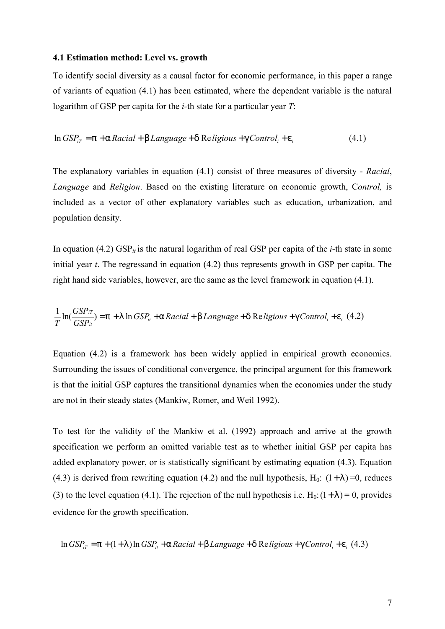#### **4.1 Estimation method: Level vs. growth**

To identify social diversity as a causal factor for economic performance, in this paper a range of variants of equation (4.1) has been estimated, where the dependent variable is the natural logarithm of GSP per capita for the *i-*th state for a particular year *T*:

$$
\ln GSP_{iT} = p + a \, \text{Racial + b} \, \text{Language + d} \, \text{Re} \, \text{ligious + g} \, \text{Control}_i + e_i \tag{4.1}
$$

The explanatory variables in equation (4.1) consist of three measures of diversity - *Racial*, *Language* and *Religion*. Based on the existing literature on economic growth, C*ontrol,* is included as a vector of other explanatory variables such as education, urbanization, and population density.

In equation (4.2)  $GSP_{it}$  is the natural logarithm of real GSP per capita of the *i*-th state in some initial year *t*. The regressand in equation (4.2) thus represents growth in GSP per capita. The right hand side variables, however, are the same as the level framework in equation (4.1).

$$
\frac{1}{T} \ln(\frac{GSP_{iT}}{GSP_{i}}) = p + 1 \ln GSP_{i} + a \text{ Racial + b Language + d Religious + g Control_{i} + e_{i} (4.2)
$$

Equation (4.2) is a framework has been widely applied in empirical growth economics. Surrounding the issues of conditional convergence, the principal argument for this framework is that the initial GSP captures the transitional dynamics when the economies under the study are not in their steady states (Mankiw, Romer, and Weil 1992).

To test for the validity of the Mankiw et al. (1992) approach and arrive at the growth specification we perform an omitted variable test as to whether initial GSP per capita has added explanatory power, or is statistically significant by estimating equation (4.3). Equation (4.3) is derived from rewriting equation (4.2) and the null hypothesis,  $H_0$ :  $(1+1) = 0$ , reduces (3) to the level equation (4.1). The rejection of the null hypothesis i.e.  $H_0$ :  $(1+1) = 0$ , provides evidence for the growth specification.

$$
\ln GSP_{iT} = p + (1+1)\ln GSP_{i} + a\,Racial + b\,Language + d\,Religious + g\,Control_{i} + e_{i}\, (4.3)
$$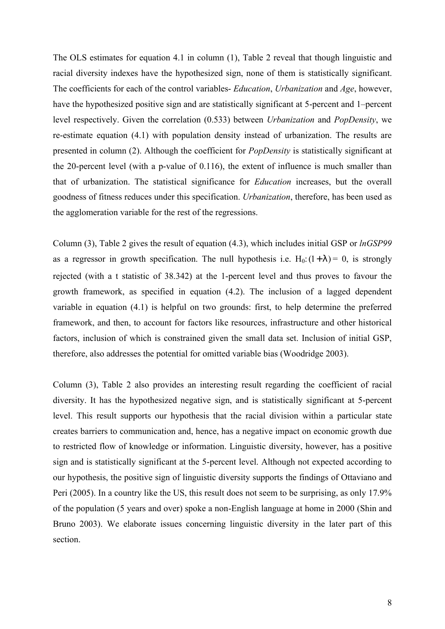The OLS estimates for equation 4.1 in column (1), Table 2 reveal that though linguistic and racial diversity indexes have the hypothesized sign, none of them is statistically significant. The coefficients for each of the control variables- *Education*, *Urbanization* and *Age*, however, have the hypothesized positive sign and are statistically significant at 5-percent and 1–percent level respectively. Given the correlation (0.533) between *Urbanization* and *PopDensity*, we re-estimate equation (4.1) with population density instead of urbanization. The results are presented in column (2). Although the coefficient for *PopDensity* is statistically significant at the 20-percent level (with a p-value of 0.116), the extent of influence is much smaller than that of urbanization. The statistical significance for *Education* increases, but the overall goodness of fitness reduces under this specification. *Urbanization*, therefore, has been used as the agglomeration variable for the rest of the regressions.

Column (3), Table 2 gives the result of equation (4.3), which includes initial GSP or *lnGSP99* as a regressor in growth specification. The null hypothesis i.e.  $H_0$ : $(1+1) = 0$ , is strongly rejected (with a t statistic of 38.342) at the 1-percent level and thus proves to favour the growth framework, as specified in equation (4.2). The inclusion of a lagged dependent variable in equation (4.1) is helpful on two grounds: first, to help determine the preferred framework, and then, to account for factors like resources, infrastructure and other historical factors, inclusion of which is constrained given the small data set. Inclusion of initial GSP, therefore, also addresses the potential for omitted variable bias (Woodridge 2003).

Column (3), Table 2 also provides an interesting result regarding the coefficient of racial diversity. It has the hypothesized negative sign, and is statistically significant at 5-percent level. This result supports our hypothesis that the racial division within a particular state creates barriers to communication and, hence, has a negative impact on economic growth due to restricted flow of knowledge or information. Linguistic diversity, however, has a positive sign and is statistically significant at the 5-percent level. Although not expected according to our hypothesis, the positive sign of linguistic diversity supports the findings of Ottaviano and Peri (2005). In a country like the US, this result does not seem to be surprising, as only 17.9% of the population (5 years and over) spoke a non-English language at home in 2000 (Shin and Bruno 2003). We elaborate issues concerning linguistic diversity in the later part of this section.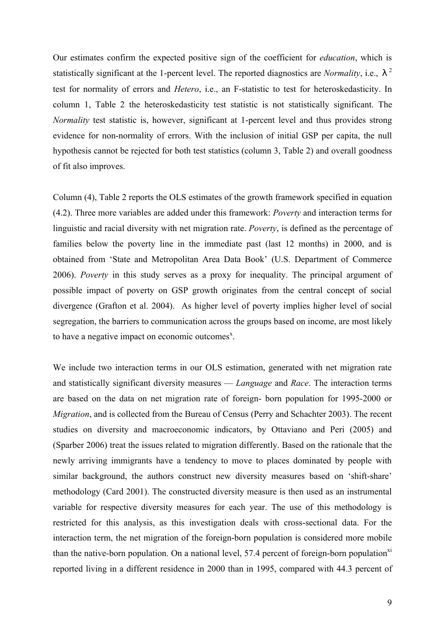Our estimates confirm the expected positive sign of the coefficient for *education*, which is statistically significant at the 1-percent level. The reported diagnostics are *Normality*, i.e., *l* 2 test for normality of errors and *Hetero*, i.e., an F-statistic to test for heteroskedasticity. In column 1, Table 2 the heteroskedasticity test statistic is not statistically significant. The *Normality* test statistic is, however, significant at 1-percent level and thus provides strong evidence for non-normality of errors. With the inclusion of initial GSP per capita, the null hypothesis cannot be rejected for both test statistics (column 3, Table 2) and overall goodness of fit also improves.

Column (4), Table 2 reports the OLS estimates of the growth framework specified in equation (4.2). Three more variables are added under this framework: *Poverty* and interaction terms for linguistic and racial diversity with net migration rate. *Poverty*, is defined as the percentage of families below the poverty line in the immediate past (last 12 months) in 2000, and is obtained from 'State and Metropolitan Area Data Book' (U.S. Department of Commerce 2006). *Poverty* in this study serves as a proxy for inequality. The principal argument of possible impact of poverty on GSP growth originates from the central concept of social divergence (Grafton et al. 2004). As higher level of poverty implies higher level of social segregation, the barriers to communication across the groups based on income, are most likely to have a negative impact on economic outcomes<sup> $x$ </sup>.

We include two interaction terms in our OLS estimation, generated with net migration rate and statistically significant diversity measures — *Language* and *Race*. The interaction terms are based on the data on net migration rate of foreign- born population for 1995-2000 or *Migration*, and is collected from the Bureau of Census (Perry and Schachter 2003). The recent studies on diversity and macroeconomic indicators, by Ottaviano and Peri (2005) and (Sparber 2006) treat the issues related to migration differently. Based on the rationale that the newly arriving immigrants have a tendency to move to places dominated by people with similar background, the authors construct new diversity measures based on 'shift-share' methodology (Card 2001). The constructed diversity measure is then used as an instrumental variable for respective diversity measures for each year. The use of this methodology is restricted for this analysis, as this investigation deals with cross-sectional data. For the interaction term, the net migration of the foreign-born population is considered more mobile than the native-born population. On a national level, 57.4 percent of foreign-born population<sup>xi</sup> reported living in a different residence in 2000 than in 1995, compared with 44.3 percent of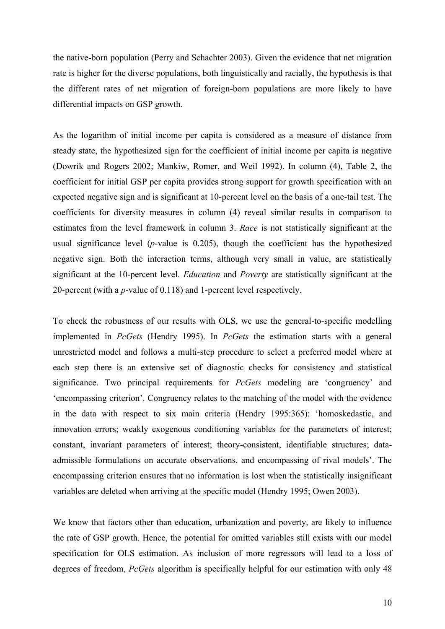the native-born population (Perry and Schachter 2003). Given the evidence that net migration rate is higher for the diverse populations, both linguistically and racially, the hypothesis is that the different rates of net migration of foreign-born populations are more likely to have differential impacts on GSP growth.

As the logarithm of initial income per capita is considered as a measure of distance from steady state, the hypothesized sign for the coefficient of initial income per capita is negative (Dowrik and Rogers 2002; Mankiw, Romer, and Weil 1992). In column (4), Table 2, the coefficient for initial GSP per capita provides strong support for growth specification with an expected negative sign and is significant at 10-percent level on the basis of a one-tail test. The coefficients for diversity measures in column (4) reveal similar results in comparison to estimates from the level framework in column 3. *Race* is not statistically significant at the usual significance level (*p*-value is 0.205), though the coefficient has the hypothesized negative sign. Both the interaction terms, although very small in value, are statistically significant at the 10-percent level. *Education* and *Poverty* are statistically significant at the 20-percent (with a *p*-value of 0.118) and 1-percent level respectively.

To check the robustness of our results with OLS, we use the general-to-specific modelling implemented in *PcGets* (Hendry 1995). In *PcGets* the estimation starts with a general unrestricted model and follows a multi-step procedure to select a preferred model where at each step there is an extensive set of diagnostic checks for consistency and statistical significance. Two principal requirements for *PcGets* modeling are 'congruency' and 'encompassing criterion'. Congruency relates to the matching of the model with the evidence in the data with respect to six main criteria (Hendry 1995:365): 'homoskedastic, and innovation errors; weakly exogenous conditioning variables for the parameters of interest; constant, invariant parameters of interest; theory-consistent, identifiable structures; dataadmissible formulations on accurate observations, and encompassing of rival models'. The encompassing criterion ensures that no information is lost when the statistically insignificant variables are deleted when arriving at the specific model (Hendry 1995; Owen 2003).

We know that factors other than education, urbanization and poverty, are likely to influence the rate of GSP growth. Hence, the potential for omitted variables still exists with our model specification for OLS estimation. As inclusion of more regressors will lead to a loss of degrees of freedom, *PcGets* algorithm is specifically helpful for our estimation with only 48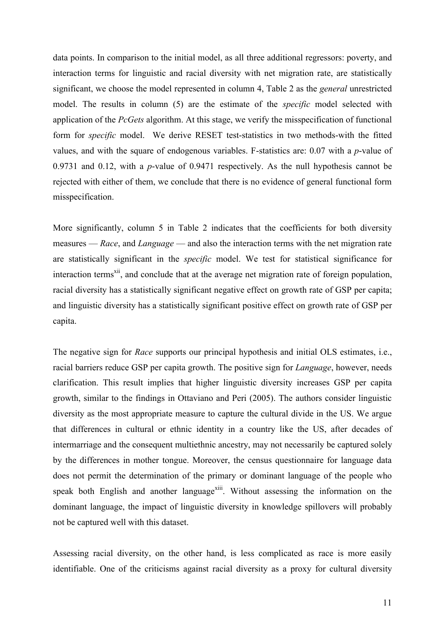data points. In comparison to the initial model, as all three additional regressors: poverty, and interaction terms for linguistic and racial diversity with net migration rate, are statistically significant, we choose the model represented in column 4, Table 2 as the *general* unrestricted model. The results in column (5) are the estimate of the *specific* model selected with application of the *PcGets* algorithm. At this stage, we verify the misspecification of functional form for *specific* model. We derive RESET test-statistics in two methods-with the fitted values, and with the square of endogenous variables. F-statistics are: 0.07 with a *p*-value of 0.9731 and 0.12, with a *p*-value of 0.9471 respectively. As the null hypothesis cannot be rejected with either of them, we conclude that there is no evidence of general functional form misspecification.

More significantly, column 5 in Table 2 indicates that the coefficients for both diversity measures — *Race*, and *Language* — and also the interaction terms with the net migration rate are statistically significant in the *specific* model. We test for statistical significance for interaction terms<sup>xii</sup>, and conclude that at the average net migration rate of foreign population, racial diversity has a statistically significant negative effect on growth rate of GSP per capita; and linguistic diversity has a statistically significant positive effect on growth rate of GSP per capita.

The negative sign for *Race* supports our principal hypothesis and initial OLS estimates, i.e., racial barriers reduce GSP per capita growth. The positive sign for *Language*, however, needs clarification. This result implies that higher linguistic diversity increases GSP per capita growth, similar to the findings in Ottaviano and Peri (2005). The authors consider linguistic diversity as the most appropriate measure to capture the cultural divide in the US. We argue that differences in cultural or ethnic identity in a country like the US, after decades of intermarriage and the consequent multiethnic ancestry, may not necessarily be captured solely by the differences in mother tongue. Moreover, the census questionnaire for language data does not permit the determination of the primary or dominant language of the people who speak both English and another language<sup>xiii</sup>. Without assessing the information on the dominant language, the impact of linguistic diversity in knowledge spillovers will probably not be captured well with this dataset.

Assessing racial diversity, on the other hand, is less complicated as race is more easily identifiable. One of the criticisms against racial diversity as a proxy for cultural diversity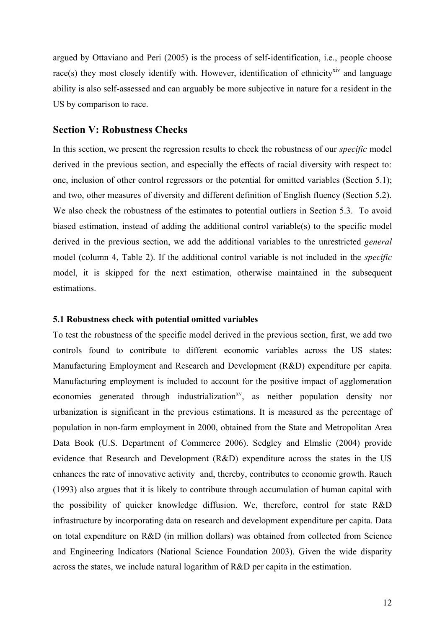argued by Ottaviano and Peri (2005) is the process of self-identification, i.e., people choose race(s) they most closely identify with. However, identification of ethnicity<sup>xiv</sup> and language ability is also self-assessed and can arguably be more subjective in nature for a resident in the US by comparison to race.

## **Section V: Robustness Checks**

In this section, we present the regression results to check the robustness of our *specific* model derived in the previous section, and especially the effects of racial diversity with respect to: one, inclusion of other control regressors or the potential for omitted variables (Section 5.1); and two, other measures of diversity and different definition of English fluency (Section 5.2). We also check the robustness of the estimates to potential outliers in Section 5.3. To avoid biased estimation, instead of adding the additional control variable(s) to the specific model derived in the previous section, we add the additional variables to the unrestricted *general*  model (column 4, Table 2). If the additional control variable is not included in the *specific*  model, it is skipped for the next estimation, otherwise maintained in the subsequent estimations.

#### **5.1 Robustness check with potential omitted variables**

To test the robustness of the specific model derived in the previous section, first, we add two controls found to contribute to different economic variables across the US states: Manufacturing Employment and Research and Development (R&D) expenditure per capita. Manufacturing employment is included to account for the positive impact of agglomeration economies generated through industrialization $x<sup>v</sup>$ , as neither population density nor urbanization is significant in the previous estimations. It is measured as the percentage of population in non-farm employment in 2000, obtained from the State and Metropolitan Area Data Book (U.S. Department of Commerce 2006). Sedgley and Elmslie (2004) provide evidence that Research and Development (R&D) expenditure across the states in the US enhances the rate of innovative activity and, thereby, contributes to economic growth. Rauch (1993) also argues that it is likely to contribute through accumulation of human capital with the possibility of quicker knowledge diffusion. We, therefore, control for state R&D infrastructure by incorporating data on research and development expenditure per capita. Data on total expenditure on R&D (in million dollars) was obtained from collected from Science and Engineering Indicators (National Science Foundation 2003). Given the wide disparity across the states, we include natural logarithm of R&D per capita in the estimation.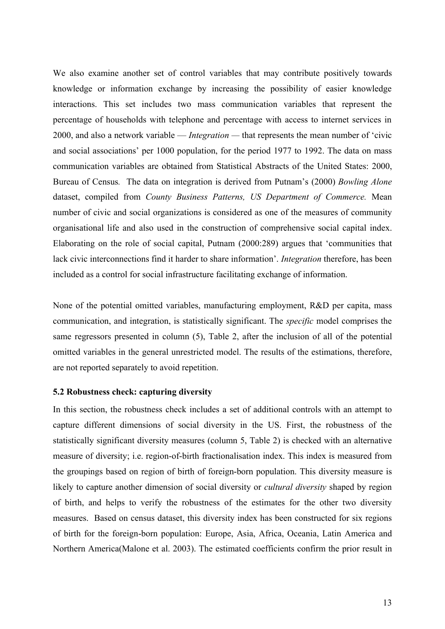We also examine another set of control variables that may contribute positively towards knowledge or information exchange by increasing the possibility of easier knowledge interactions. This set includes two mass communication variables that represent the percentage of households with telephone and percentage with access to internet services in 2000, and also a network variable — *Integration —* that represents the mean number of 'civic and social associations' per 1000 population, for the period 1977 to 1992. The data on mass communication variables are obtained from Statistical Abstracts of the United States: 2000, Bureau of Census*.* The data on integration is derived from Putnam's (2000) *Bowling Alone* dataset, compiled from *County Business Patterns, US Department of Commerce.* Mean number of civic and social organizations is considered as one of the measures of community organisational life and also used in the construction of comprehensive social capital index. Elaborating on the role of social capital, Putnam (2000:289) argues that 'communities that lack civic interconnections find it harder to share information'. *Integration* therefore, has been included as a control for social infrastructure facilitating exchange of information.

None of the potential omitted variables, manufacturing employment, R&D per capita, mass communication, and integration, is statistically significant. The *specific* model comprises the same regressors presented in column (5), Table 2, after the inclusion of all of the potential omitted variables in the general unrestricted model. The results of the estimations, therefore, are not reported separately to avoid repetition.

#### **5.2 Robustness check: capturing diversity**

In this section, the robustness check includes a set of additional controls with an attempt to capture different dimensions of social diversity in the US. First, the robustness of the statistically significant diversity measures (column 5, Table 2) is checked with an alternative measure of diversity; i.e. region-of-birth fractionalisation index. This index is measured from the groupings based on region of birth of foreign-born population. This diversity measure is likely to capture another dimension of social diversity or *cultural diversity* shaped by region of birth, and helps to verify the robustness of the estimates for the other two diversity measures. Based on census dataset, this diversity index has been constructed for six regions of birth for the foreign-born population: Europe, Asia, Africa, Oceania, Latin America and Northern America(Malone et al. 2003). The estimated coefficients confirm the prior result in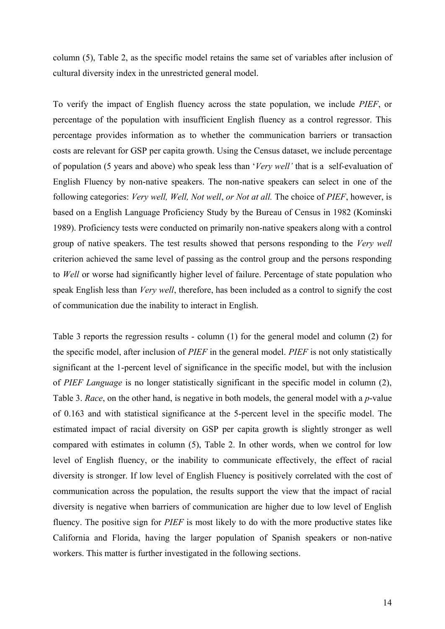column (5), Table 2, as the specific model retains the same set of variables after inclusion of cultural diversity index in the unrestricted general model.

To verify the impact of English fluency across the state population, we include *PIEF*, or percentage of the population with insufficient English fluency as a control regressor. This percentage provides information as to whether the communication barriers or transaction costs are relevant for GSP per capita growth. Using the Census dataset, we include percentage of population (5 years and above) who speak less than '*Very well'* that is a self-evaluation of English Fluency by non-native speakers. The non-native speakers can select in one of the following categories: *Very well, Well, Not well*, *or Not at all.* The choice of *PIEF*, however, is based on a English Language Proficiency Study by the Bureau of Census in 1982 (Kominski 1989). Proficiency tests were conducted on primarily non-native speakers along with a control group of native speakers. The test results showed that persons responding to the *Very well*  criterion achieved the same level of passing as the control group and the persons responding to *Well* or worse had significantly higher level of failure. Percentage of state population who speak English less than *Very well*, therefore, has been included as a control to signify the cost of communication due the inability to interact in English.

Table 3 reports the regression results - column (1) for the general model and column (2) for the specific model, after inclusion of *PIEF* in the general model. *PIEF* is not only statistically significant at the 1-percent level of significance in the specific model, but with the inclusion of *PIEF Language* is no longer statistically significant in the specific model in column (2), Table 3. *Race*, on the other hand, is negative in both models, the general model with a *p*-value of 0.163 and with statistical significance at the 5-percent level in the specific model. The estimated impact of racial diversity on GSP per capita growth is slightly stronger as well compared with estimates in column (5), Table 2. In other words, when we control for low level of English fluency, or the inability to communicate effectively, the effect of racial diversity is stronger. If low level of English Fluency is positively correlated with the cost of communication across the population, the results support the view that the impact of racial diversity is negative when barriers of communication are higher due to low level of English fluency. The positive sign for *PIEF* is most likely to do with the more productive states like California and Florida, having the larger population of Spanish speakers or non-native workers. This matter is further investigated in the following sections.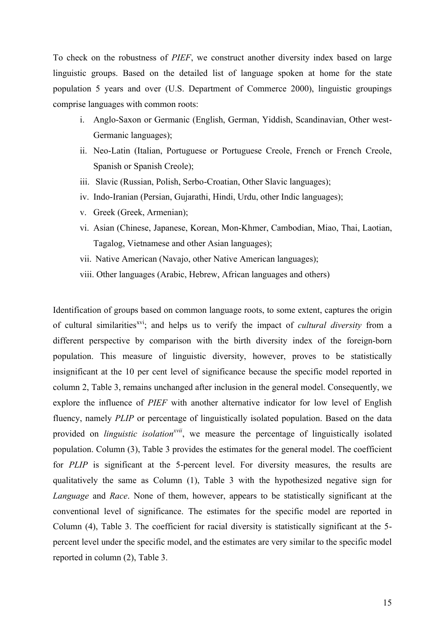To check on the robustness of *PIEF*, we construct another diversity index based on large linguistic groups. Based on the detailed list of language spoken at home for the state population 5 years and over (U.S. Department of Commerce 2000), linguistic groupings comprise languages with common roots:

- i. Anglo-Saxon or Germanic (English, German, Yiddish, Scandinavian, Other west-Germanic languages);
- ii. Neo-Latin (Italian, Portuguese or Portuguese Creole, French or French Creole, Spanish or Spanish Creole);
- iii. Slavic (Russian, Polish, Serbo-Croatian, Other Slavic languages);
- iv. Indo-Iranian (Persian, Gujarathi, Hindi, Urdu, other Indic languages);
- v. Greek (Greek, Armenian);
- vi. Asian (Chinese, Japanese, Korean, Mon-Khmer, Cambodian, Miao, Thai, Laotian, Tagalog, Vietnamese and other Asian languages);
- vii. Native American (Navajo, other Native American languages);
- viii. Other languages (Arabic, Hebrew, African languages and others)

Identification of groups based on common language roots, to some extent, captures the origin of cultural similarities<sup>xvi</sup>; and helps us to verify the impact of *cultural diversity* from a different perspective by comparison with the birth diversity index of the foreign-born population. This measure of linguistic diversity, however, proves to be statistically insignificant at the 10 per cent level of significance because the specific model reported in column 2, Table 3, remains unchanged after inclusion in the general model. Consequently, we explore the influence of *PIEF* with another alternative indicator for low level of English fluency, namely *PLIP* or percentage of linguistically isolated population. Based on the data provided on *linguistic isolationxvii*, we measure the percentage of linguistically isolated population. Column (3), Table 3 provides the estimates for the general model. The coefficient for *PLIP* is significant at the 5-percent level. For diversity measures, the results are qualitatively the same as Column (1), Table 3 with the hypothesized negative sign for *Language* and *Race*. None of them, however, appears to be statistically significant at the conventional level of significance. The estimates for the specific model are reported in Column (4), Table 3. The coefficient for racial diversity is statistically significant at the 5 percent level under the specific model, and the estimates are very similar to the specific model reported in column (2), Table 3.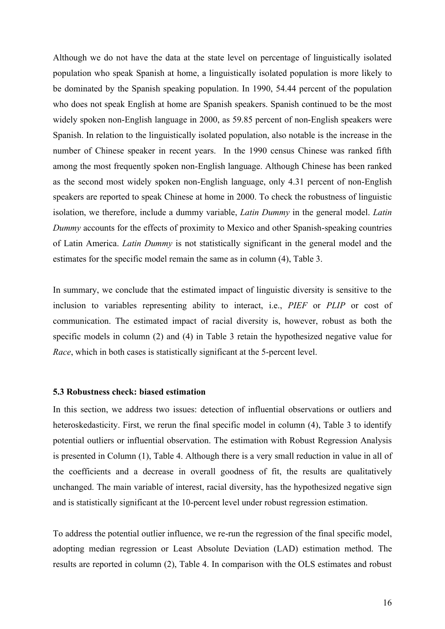Although we do not have the data at the state level on percentage of linguistically isolated population who speak Spanish at home, a linguistically isolated population is more likely to be dominated by the Spanish speaking population. In 1990, 54.44 percent of the population who does not speak English at home are Spanish speakers. Spanish continued to be the most widely spoken non-English language in 2000, as 59.85 percent of non-English speakers were Spanish. In relation to the linguistically isolated population, also notable is the increase in the number of Chinese speaker in recent years. In the 1990 census Chinese was ranked fifth among the most frequently spoken non-English language. Although Chinese has been ranked as the second most widely spoken non-English language, only 4.31 percent of non-English speakers are reported to speak Chinese at home in 2000. To check the robustness of linguistic isolation, we therefore, include a dummy variable, *Latin Dummy* in the general model. *Latin Dummy* accounts for the effects of proximity to Mexico and other Spanish-speaking countries of Latin America. *Latin Dummy* is not statistically significant in the general model and the estimates for the specific model remain the same as in column (4), Table 3.

In summary, we conclude that the estimated impact of linguistic diversity is sensitive to the inclusion to variables representing ability to interact, i.e., *PIEF* or *PLIP* or cost of communication. The estimated impact of racial diversity is, however, robust as both the specific models in column (2) and (4) in Table 3 retain the hypothesized negative value for *Race*, which in both cases is statistically significant at the 5-percent level.

#### **5.3 Robustness check: biased estimation**

In this section, we address two issues: detection of influential observations or outliers and heteroskedasticity. First, we rerun the final specific model in column (4), Table 3 to identify potential outliers or influential observation. The estimation with Robust Regression Analysis is presented in Column (1), Table 4. Although there is a very small reduction in value in all of the coefficients and a decrease in overall goodness of fit, the results are qualitatively unchanged. The main variable of interest, racial diversity, has the hypothesized negative sign and is statistically significant at the 10-percent level under robust regression estimation.

To address the potential outlier influence, we re-run the regression of the final specific model, adopting median regression or Least Absolute Deviation (LAD) estimation method. The results are reported in column (2), Table 4. In comparison with the OLS estimates and robust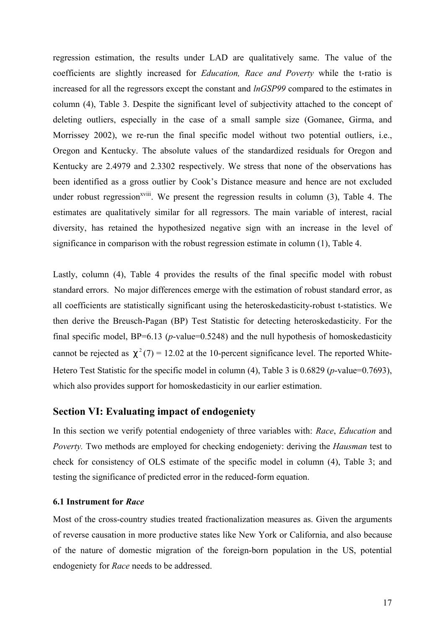regression estimation, the results under LAD are qualitatively same. The value of the coefficients are slightly increased for *Education, Race and Poverty* while the t-ratio is increased for all the regressors except the constant and *lnGSP99* compared to the estimates in column (4), Table 3. Despite the significant level of subjectivity attached to the concept of deleting outliers, especially in the case of a small sample size (Gomanee, Girma, and Morrissey 2002), we re-run the final specific model without two potential outliers, i.e., Oregon and Kentucky. The absolute values of the standardized residuals for Oregon and Kentucky are 2.4979 and 2.3302 respectively. We stress that none of the observations has been identified as a gross outlier by Cook's Distance measure and hence are not excluded under robust regression $x^{viii}$ . We present the regression results in column (3), Table 4. The estimates are qualitatively similar for all regressors. The main variable of interest, racial diversity, has retained the hypothesized negative sign with an increase in the level of significance in comparison with the robust regression estimate in column (1), Table 4.

Lastly, column (4), Table 4 provides the results of the final specific model with robust standard errors. No major differences emerge with the estimation of robust standard error, as all coefficients are statistically significant using the heteroskedasticity-robust t-statistics. We then derive the Breusch-Pagan (BP) Test Statistic for detecting heteroskedasticity. For the final specific model,  $BP=6.13$  ( $p$ -value=0.5248) and the null hypothesis of homoskedasticity cannot be rejected as  $c^2(7) = 12.02$  at the 10-percent significance level. The reported White-Hetero Test Statistic for the specific model in column (4), Table 3 is 0.6829 (*p*-value=0.7693), which also provides support for homoskedasticity in our earlier estimation.

## **Section VI: Evaluating impact of endogeniety**

In this section we verify potential endogeniety of three variables with: *Race*, *Education* and *Poverty.* Two methods are employed for checking endogeniety: deriving the *Hausman* test to check for consistency of OLS estimate of the specific model in column (4), Table 3; and testing the significance of predicted error in the reduced-form equation.

#### **6.1 Instrument for** *Race*

Most of the cross-country studies treated fractionalization measures as. Given the arguments of reverse causation in more productive states like New York or California, and also because of the nature of domestic migration of the foreign-born population in the US, potential endogeniety for *Race* needs to be addressed.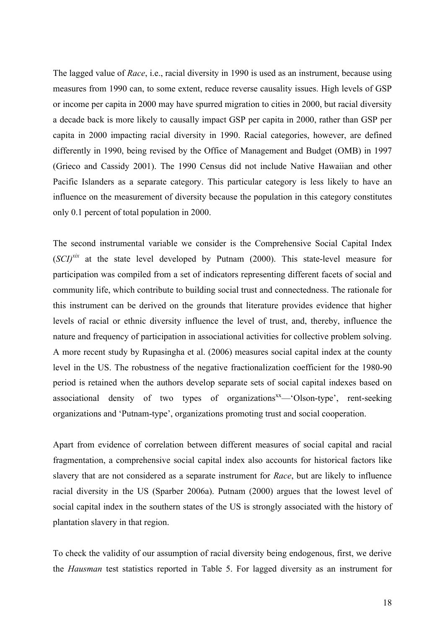The lagged value of *Race*, i.e., racial diversity in 1990 is used as an instrument, because using measures from 1990 can, to some extent, reduce reverse causality issues. High levels of GSP or income per capita in 2000 may have spurred migration to cities in 2000, but racial diversity a decade back is more likely to causally impact GSP per capita in 2000, rather than GSP per capita in 2000 impacting racial diversity in 1990. Racial categories, however, are defined differently in 1990, being revised by the Office of Management and Budget (OMB) in 1997 (Grieco and Cassidy 2001). The 1990 Census did not include Native Hawaiian and other Pacific Islanders as a separate category. This particular category is less likely to have an influence on the measurement of diversity because the population in this category constitutes only 0.1 percent of total population in 2000.

The second instrumental variable we consider is the Comprehensive Social Capital Index  $(SCI)^{xix}$  at the state level developed by Putnam (2000). This state-level measure for participation was compiled from a set of indicators representing different facets of social and community life, which contribute to building social trust and connectedness. The rationale for this instrument can be derived on the grounds that literature provides evidence that higher levels of racial or ethnic diversity influence the level of trust, and, thereby, influence the nature and frequency of participation in associational activities for collective problem solving. A more recent study by Rupasingha et al. (2006) measures social capital index at the county level in the US. The robustness of the negative fractionalization coefficient for the 1980-90 period is retained when the authors develop separate sets of social capital indexes based on associational density of two types of organizations $x<sup>x</sup>$ —'Olson-type', rent-seeking organizations and 'Putnam-type', organizations promoting trust and social cooperation.

Apart from evidence of correlation between different measures of social capital and racial fragmentation, a comprehensive social capital index also accounts for historical factors like slavery that are not considered as a separate instrument for *Race*, but are likely to influence racial diversity in the US (Sparber 2006a). Putnam (2000) argues that the lowest level of social capital index in the southern states of the US is strongly associated with the history of plantation slavery in that region.

To check the validity of our assumption of racial diversity being endogenous, first, we derive the *Hausman* test statistics reported in Table 5. For lagged diversity as an instrument for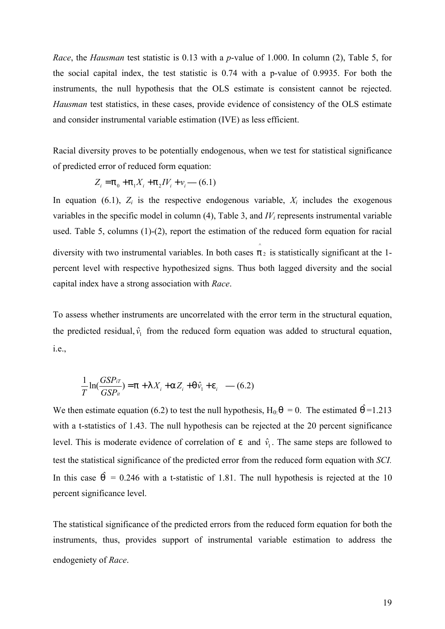*Race*, the *Hausman* test statistic is 0.13 with a *p*-value of 1.000. In column (2), Table 5, for the social capital index, the test statistic is 0.74 with a p-value of 0.9935. For both the instruments, the null hypothesis that the OLS estimate is consistent cannot be rejected. *Hausman* test statistics, in these cases, provide evidence of consistency of the OLS estimate and consider instrumental variable estimation (IVE) as less efficient.

Racial diversity proves to be potentially endogenous, when we test for statistical significance of predicted error of reduced form equation:

$$
Z_i = p_0 + p_1 X_i + p_2 IV_i + v_i
$$
 (6.1)

In equation (6.1),  $Z_i$  is the respective endogenous variable,  $X_i$  includes the exogenous variables in the specific model in column (4), Table 3, and *IV<sup>i</sup>* represents instrumental variable used. Table 5, columns (1)-(2), report the estimation of the reduced form equation for racial diversity with two instrumental variables. In both cases  $\hat{p}_2$  is statistically significant at the 1percent level with respective hypothesized signs. Thus both lagged diversity and the social capital index have a strong association with *Race*.

To assess whether instruments are uncorrelated with the error term in the structural equation, the predicted residual,  $\hat{v}_1$  from the reduced form equation was added to structural equation, i.e.,

$$
\frac{1}{T}\ln(\frac{GSP_{iT}}{GSP_{it}})=p+1 X_i+aZ_i+q\hat{v}_1+e_i \quad -(6.2)
$$

We then estimate equation (6.2) to test the null hypothesis,  $H_0$ : $q = 0$ . The estimated  $\hat{q} = 1.213$ with a t-statistics of 1.43. The null hypothesis can be rejected at the 20 percent significance level. This is moderate evidence of correlation of  $e$  and  $\hat{v}_1$ . The same steps are followed to test the statistical significance of the predicted error from the reduced form equation with *SCI.*  In this case  $\hat{q}$  = 0.246 with a t-statistic of 1.81. The null hypothesis is rejected at the 10 percent significance level.

The statistical significance of the predicted errors from the reduced form equation for both the instruments, thus, provides support of instrumental variable estimation to address the endogeniety of *Race*.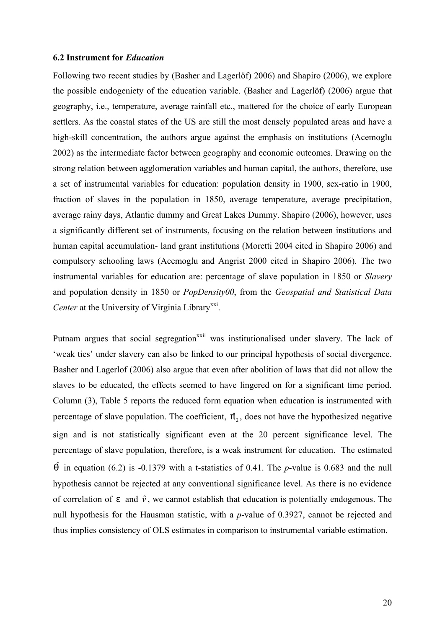#### **6.2 Instrument for** *Education*

Following two recent studies by (Basher and Lagerlöf) 2006) and Shapiro (2006), we explore the possible endogeniety of the education variable. (Basher and Lagerlöf) (2006) argue that geography, i.e., temperature, average rainfall etc., mattered for the choice of early European settlers. As the coastal states of the US are still the most densely populated areas and have a high-skill concentration, the authors argue against the emphasis on institutions (Acemoglu 2002) as the intermediate factor between geography and economic outcomes. Drawing on the strong relation between agglomeration variables and human capital, the authors, therefore, use a set of instrumental variables for education: population density in 1900, sex-ratio in 1900, fraction of slaves in the population in 1850, average temperature, average precipitation, average rainy days, Atlantic dummy and Great Lakes Dummy. Shapiro (2006), however, uses a significantly different set of instruments, focusing on the relation between institutions and human capital accumulation- land grant institutions (Moretti 2004 cited in Shapiro 2006) and compulsory schooling laws (Acemoglu and Angrist 2000 cited in Shapiro 2006). The two instrumental variables for education are: percentage of slave population in 1850 or *Slavery* and population density in 1850 or *PopDensity00*, from the *Geospatial and Statistical Data*  Center at the University of Virginia Library<sup>xxi</sup>.

Putnam argues that social segregation<sup>xxii</sup> was institutionalised under slavery. The lack of 'weak ties' under slavery can also be linked to our principal hypothesis of social divergence. Basher and Lagerlof (2006) also argue that even after abolition of laws that did not allow the slaves to be educated, the effects seemed to have lingered on for a significant time period. Column (3), Table 5 reports the reduced form equation when education is instrumented with percentage of slave population. The coefficient,  $\beta_2$ , does not have the hypothesized negative sign and is not statistically significant even at the 20 percent significance level. The percentage of slave population, therefore, is a weak instrument for education. The estimated ˆ*q* in equation (6.2) is -0.1379 with a t-statistics of 0.41. The *p*-value is 0.683 and the null hypothesis cannot be rejected at any conventional significance level. As there is no evidence of correlation of  $e$  and  $\hat{v}$ , we cannot establish that education is potentially endogenous. The null hypothesis for the Hausman statistic, with a *p*-value of 0.3927, cannot be rejected and thus implies consistency of OLS estimates in comparison to instrumental variable estimation.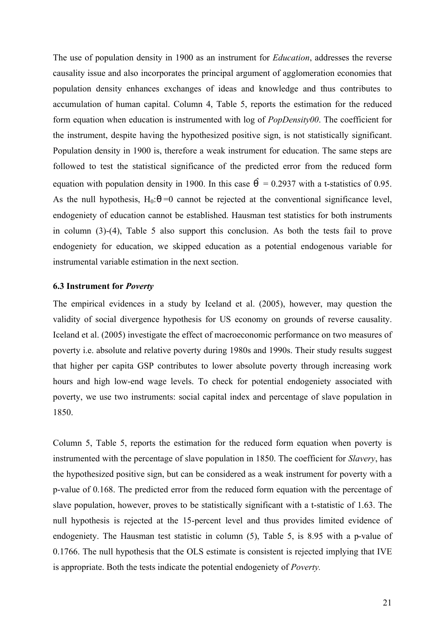The use of population density in 1900 as an instrument for *Education*, addresses the reverse causality issue and also incorporates the principal argument of agglomeration economies that population density enhances exchanges of ideas and knowledge and thus contributes to accumulation of human capital. Column 4, Table 5, reports the estimation for the reduced form equation when education is instrumented with log of *PopDensity00*. The coefficient for the instrument, despite having the hypothesized positive sign, is not statistically significant. Population density in 1900 is, therefore a weak instrument for education. The same steps are followed to test the statistical significance of the predicted error from the reduced form equation with population density in 1900. In this case  $\hat{q} = 0.2937$  with a t-statistics of 0.95. As the null hypothesis,  $H_0:q=0$  cannot be rejected at the conventional significance level, endogeniety of education cannot be established. Hausman test statistics for both instruments in column (3)-(4), Table 5 also support this conclusion. As both the tests fail to prove endogeniety for education, we skipped education as a potential endogenous variable for instrumental variable estimation in the next section.

#### **6.3 Instrument for** *Poverty*

The empirical evidences in a study by Iceland et al. (2005), however, may question the validity of social divergence hypothesis for US economy on grounds of reverse causality. Iceland et al. (2005) investigate the effect of macroeconomic performance on two measures of poverty i.e. absolute and relative poverty during 1980s and 1990s. Their study results suggest that higher per capita GSP contributes to lower absolute poverty through increasing work hours and high low-end wage levels. To check for potential endogeniety associated with poverty, we use two instruments: social capital index and percentage of slave population in 1850.

Column 5, Table 5, reports the estimation for the reduced form equation when poverty is instrumented with the percentage of slave population in 1850. The coefficient for *Slavery*, has the hypothesized positive sign, but can be considered as a weak instrument for poverty with a p-value of 0.168. The predicted error from the reduced form equation with the percentage of slave population, however, proves to be statistically significant with a t-statistic of 1.63. The null hypothesis is rejected at the 15-percent level and thus provides limited evidence of endogeniety. The Hausman test statistic in column (5), Table 5, is 8.95 with a p-value of 0.1766. The null hypothesis that the OLS estimate is consistent is rejected implying that IVE is appropriate. Both the tests indicate the potential endogeniety of *Poverty.*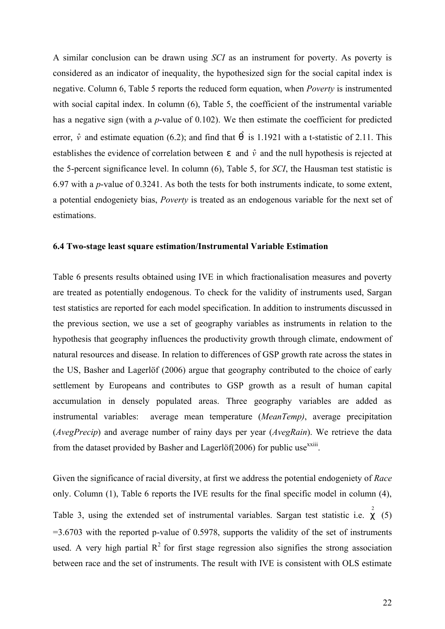A similar conclusion can be drawn using *SCI* as an instrument for poverty. As poverty is considered as an indicator of inequality, the hypothesized sign for the social capital index is negative. Column 6, Table 5 reports the reduced form equation, when *Poverty* is instrumented with social capital index. In column (6), Table 5, the coefficient of the instrumental variable has a negative sign (with a *p*-value of 0.102). We then estimate the coefficient for predicted error,  $\hat{v}$  and estimate equation (6.2); and find that  $\hat{q}$  is 1.1921 with a t-statistic of 2.11. This establishes the evidence of correlation between *e* and *v*ˆ and the null hypothesis is rejected at the 5-percent significance level. In column (6), Table 5, for *SCI*, the Hausman test statistic is 6.97 with a *p*-value of 0.3241. As both the tests for both instruments indicate, to some extent, a potential endogeniety bias, *Poverty* is treated as an endogenous variable for the next set of estimations.

#### **6.4 Two-stage least square estimation/Instrumental Variable Estimation**

Table 6 presents results obtained using IVE in which fractionalisation measures and poverty are treated as potentially endogenous. To check for the validity of instruments used, Sargan test statistics are reported for each model specification. In addition to instruments discussed in the previous section, we use a set of geography variables as instruments in relation to the hypothesis that geography influences the productivity growth through climate, endowment of natural resources and disease. In relation to differences of GSP growth rate across the states in the US, Basher and Lagerlöf (2006) argue that geography contributed to the choice of early settlement by Europeans and contributes to GSP growth as a result of human capital accumulation in densely populated areas. Three geography variables are added as instrumental variables: average mean temperature (*MeanTemp)*, average precipitation (*AvegPrecip*) and average number of rainy days per year (*AvegRain*). We retrieve the data from the dataset provided by Basher and Lagerlöf $(2006)$  for public use<sup>xxiii</sup>.

Given the significance of racial diversity, at first we address the potential endogeniety of *Race* only. Column (1), Table 6 reports the IVE results for the final specific model in column (4), Table 3, using the extended set of instrumental variables. Sargan test statistic i.e. c (5)  $=3.6703$  with the reported p-value of 0.5978, supports the validity of the set of instruments used. A very high partial  $R^2$  for first stage regression also signifies the strong association between race and the set of instruments. The result with IVE is consistent with OLS estimate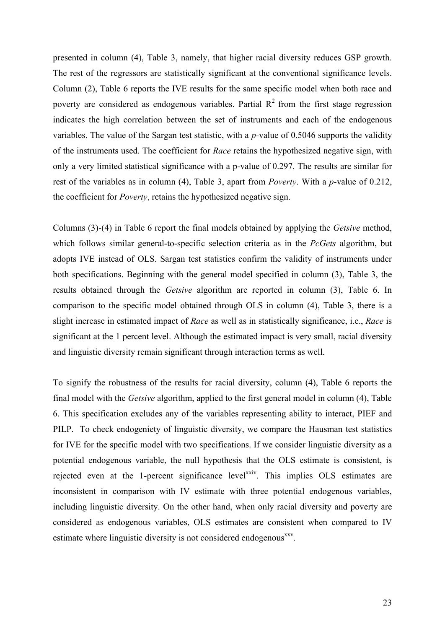presented in column (4), Table 3, namely, that higher racial diversity reduces GSP growth. The rest of the regressors are statistically significant at the conventional significance levels. Column (2), Table 6 reports the IVE results for the same specific model when both race and poverty are considered as endogenous variables. Partial  $R^2$  from the first stage regression indicates the high correlation between the set of instruments and each of the endogenous variables. The value of the Sargan test statistic, with a *p-*value of 0.5046 supports the validity of the instruments used. The coefficient for *Race* retains the hypothesized negative sign, with only a very limited statistical significance with a p-value of 0.297. The results are similar for rest of the variables as in column (4), Table 3, apart from *Poverty*. With a *p*-value of 0.212, the coefficient for *Poverty*, retains the hypothesized negative sign.

Columns (3)-(4) in Table 6 report the final models obtained by applying the *Getsive* method, which follows similar general-to-specific selection criteria as in the *PcGets* algorithm, but adopts IVE instead of OLS. Sargan test statistics confirm the validity of instruments under both specifications. Beginning with the general model specified in column (3), Table 3, the results obtained through the *Getsive* algorithm are reported in column (3), Table 6. In comparison to the specific model obtained through OLS in column (4), Table 3, there is a slight increase in estimated impact of *Race* as well as in statistically significance, i.e., *Race* is significant at the 1 percent level. Although the estimated impact is very small, racial diversity and linguistic diversity remain significant through interaction terms as well.

To signify the robustness of the results for racial diversity, column (4), Table 6 reports the final model with the *Getsive* algorithm, applied to the first general model in column (4), Table 6. This specification excludes any of the variables representing ability to interact, PIEF and PILP. To check endogeniety of linguistic diversity, we compare the Hausman test statistics for IVE for the specific model with two specifications. If we consider linguistic diversity as a potential endogenous variable, the null hypothesis that the OLS estimate is consistent, is rejected even at the 1-percent significance level<sup>xxiv</sup>. This implies OLS estimates are inconsistent in comparison with IV estimate with three potential endogenous variables, including linguistic diversity. On the other hand, when only racial diversity and poverty are considered as endogenous variables, OLS estimates are consistent when compared to IV estimate where linguistic diversity is not considered endogenous<sup>xxv</sup>.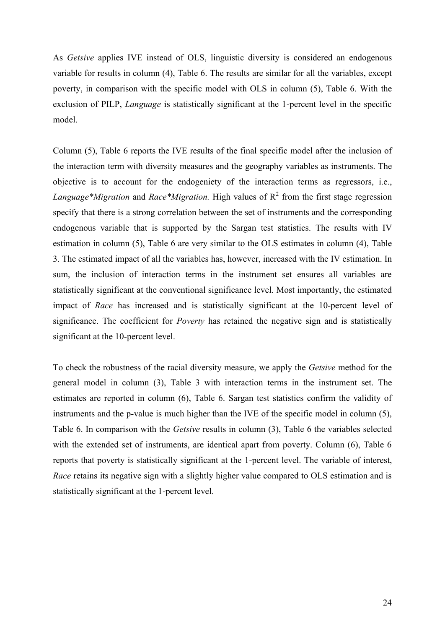As *Getsive* applies IVE instead of OLS, linguistic diversity is considered an endogenous variable for results in column (4), Table 6. The results are similar for all the variables, except poverty, in comparison with the specific model with OLS in column (5), Table 6. With the exclusion of PILP, *Language* is statistically significant at the 1-percent level in the specific model.

Column (5), Table 6 reports the IVE results of the final specific model after the inclusion of the interaction term with diversity measures and the geography variables as instruments. The objective is to account for the endogeniety of the interaction terms as regressors, i.e., *Language\*Migration* and *Race\*Migration*. High values of  $R^2$  from the first stage regression specify that there is a strong correlation between the set of instruments and the corresponding endogenous variable that is supported by the Sargan test statistics. The results with IV estimation in column (5), Table 6 are very similar to the OLS estimates in column (4), Table 3. The estimated impact of all the variables has, however, increased with the IV estimation. In sum, the inclusion of interaction terms in the instrument set ensures all variables are statistically significant at the conventional significance level. Most importantly, the estimated impact of *Race* has increased and is statistically significant at the 10-percent level of significance. The coefficient for *Poverty* has retained the negative sign and is statistically significant at the 10-percent level.

To check the robustness of the racial diversity measure, we apply the *Getsive* method for the general model in column (3), Table 3 with interaction terms in the instrument set. The estimates are reported in column (6), Table 6. Sargan test statistics confirm the validity of instruments and the p-value is much higher than the IVE of the specific model in column (5), Table 6. In comparison with the *Getsive* results in column (3), Table 6 the variables selected with the extended set of instruments, are identical apart from poverty. Column (6), Table 6 reports that poverty is statistically significant at the 1-percent level. The variable of interest, *Race* retains its negative sign with a slightly higher value compared to OLS estimation and is statistically significant at the 1-percent level.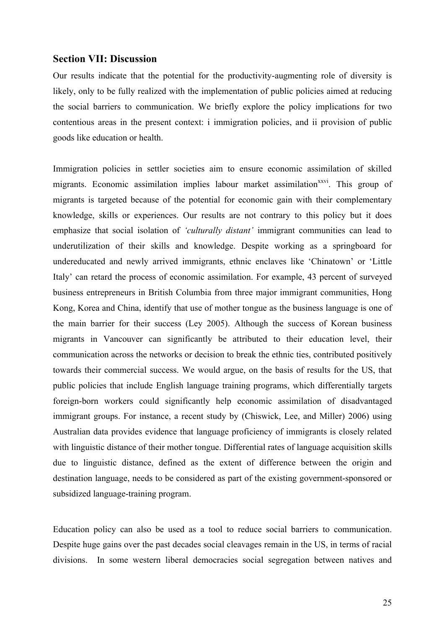#### **Section VII: Discussion**

Our results indicate that the potential for the productivity-augmenting role of diversity is likely, only to be fully realized with the implementation of public policies aimed at reducing the social barriers to communication. We briefly explore the policy implications for two contentious areas in the present context: i immigration policies, and ii provision of public goods like education or health.

Immigration policies in settler societies aim to ensure economic assimilation of skilled migrants. Economic assimilation implies labour market assimilation<sup>xxvi</sup>. This group of migrants is targeted because of the potential for economic gain with their complementary knowledge, skills or experiences. Our results are not contrary to this policy but it does emphasize that social isolation of *'culturally distant'* immigrant communities can lead to underutilization of their skills and knowledge. Despite working as a springboard for undereducated and newly arrived immigrants, ethnic enclaves like 'Chinatown' or 'Little Italy' can retard the process of economic assimilation. For example, 43 percent of surveyed business entrepreneurs in British Columbia from three major immigrant communities, Hong Kong, Korea and China, identify that use of mother tongue as the business language is one of the main barrier for their success (Ley 2005). Although the success of Korean business migrants in Vancouver can significantly be attributed to their education level, their communication across the networks or decision to break the ethnic ties, contributed positively towards their commercial success. We would argue, on the basis of results for the US, that public policies that include English language training programs, which differentially targets foreign-born workers could significantly help economic assimilation of disadvantaged immigrant groups. For instance, a recent study by (Chiswick, Lee, and Miller) 2006) using Australian data provides evidence that language proficiency of immigrants is closely related with linguistic distance of their mother tongue. Differential rates of language acquisition skills due to linguistic distance, defined as the extent of difference between the origin and destination language, needs to be considered as part of the existing government-sponsored or subsidized language-training program.

Education policy can also be used as a tool to reduce social barriers to communication. Despite huge gains over the past decades social cleavages remain in the US, in terms of racial divisions. In some western liberal democracies social segregation between natives and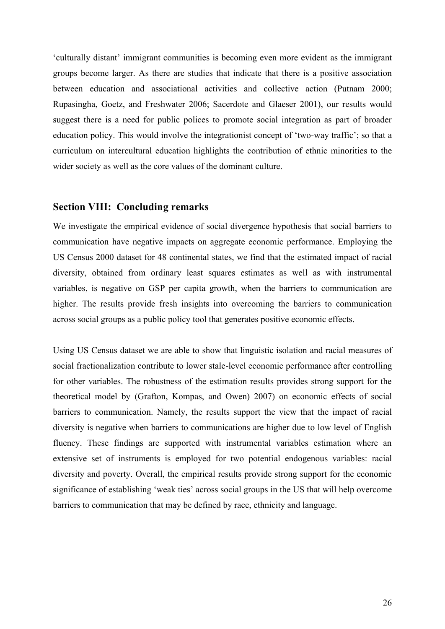'culturally distant' immigrant communities is becoming even more evident as the immigrant groups become larger. As there are studies that indicate that there is a positive association between education and associational activities and collective action (Putnam 2000; Rupasingha, Goetz, and Freshwater 2006; Sacerdote and Glaeser 2001), our results would suggest there is a need for public polices to promote social integration as part of broader education policy. This would involve the integrationist concept of 'two-way traffic'; so that a curriculum on intercultural education highlights the contribution of ethnic minorities to the wider society as well as the core values of the dominant culture.

## **Section VIII: Concluding remarks**

We investigate the empirical evidence of social divergence hypothesis that social barriers to communication have negative impacts on aggregate economic performance. Employing the US Census 2000 dataset for 48 continental states, we find that the estimated impact of racial diversity, obtained from ordinary least squares estimates as well as with instrumental variables, is negative on GSP per capita growth, when the barriers to communication are higher. The results provide fresh insights into overcoming the barriers to communication across social groups as a public policy tool that generates positive economic effects.

Using US Census dataset we are able to show that linguistic isolation and racial measures of social fractionalization contribute to lower stale-level economic performance after controlling for other variables. The robustness of the estimation results provides strong support for the theoretical model by (Grafton, Kompas, and Owen) 2007) on economic effects of social barriers to communication. Namely, the results support the view that the impact of racial diversity is negative when barriers to communications are higher due to low level of English fluency. These findings are supported with instrumental variables estimation where an extensive set of instruments is employed for two potential endogenous variables: racial diversity and poverty. Overall, the empirical results provide strong support for the economic significance of establishing 'weak ties' across social groups in the US that will help overcome barriers to communication that may be defined by race, ethnicity and language.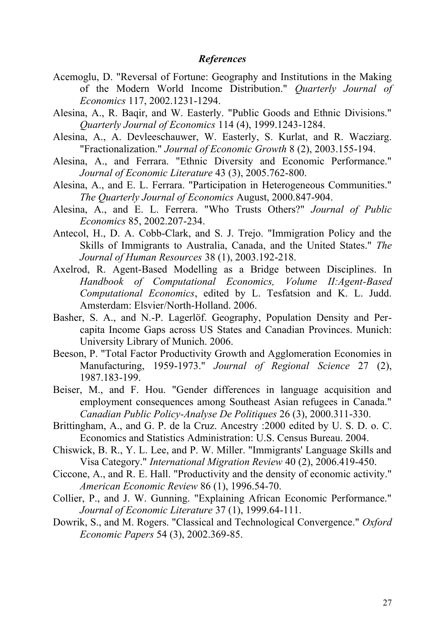### *References*

- Acemoglu, D. "Reversal of Fortune: Geography and Institutions in the Making of the Modern World Income Distribution." *Quarterly Journal of Economics* 117, 2002.1231-1294.
- Alesina, A., R. Baqir, and W. Easterly. "Public Goods and Ethnic Divisions." *Quarterly Journal of Economics* 114 (4), 1999.1243-1284.
- Alesina, A., A. Devleeschauwer, W. Easterly, S. Kurlat, and R. Wacziarg. "Fractionalization." *Journal of Economic Growth* 8 (2), 2003.155-194.
- Alesina, A., and Ferrara. "Ethnic Diversity and Economic Performance." *Journal of Economic Literature* 43 (3), 2005.762-800.
- Alesina, A., and E. L. Ferrara. "Participation in Heterogeneous Communities." *The Quarterly Journal of Economics* August, 2000.847-904.
- Alesina, A., and E. L. Ferrera. "Who Trusts Others?" *Journal of Public Economics* 85, 2002.207-234.
- Antecol, H., D. A. Cobb-Clark, and S. J. Trejo. "Immigration Policy and the Skills of Immigrants to Australia, Canada, and the United States." *The Journal of Human Resources* 38 (1), 2003.192-218.
- Axelrod, R. Agent-Based Modelling as a Bridge between Disciplines. In *Handbook of Computational Economics, Volume II:Agent-Based Computational Economics*, edited by L. Tesfatsion and K. L. Judd. Amsterdam: Elsvier/North-Holland. 2006.
- Basher, S. A., and N.-P. Lagerlöf. Geography, Population Density and Percapita Income Gaps across US States and Canadian Provinces. Munich: University Library of Munich. 2006.
- Beeson, P. "Total Factor Productivity Growth and Agglomeration Economies in Manufacturing, 1959-1973." *Journal of Regional Science* 27 (2), 1987.183-199.
- Beiser, M., and F. Hou. "Gender differences in language acquisition and employment consequences among Southeast Asian refugees in Canada." *Canadian Public Policy-Analyse De Politiques* 26 (3), 2000.311-330.
- Brittingham, A., and G. P. de la Cruz. Ancestry :2000 edited by U. S. D. o. C. Economics and Statistics Administration: U.S. Census Bureau. 2004.
- Chiswick, B. R., Y. L. Lee, and P. W. Miller. "Immigrants' Language Skills and Visa Category." *International Migration Review* 40 (2), 2006.419-450.
- Ciccone, A., and R. E. Hall. "Productivity and the density of economic activity." *American Economic Review* 86 (1), 1996.54-70.
- Collier, P., and J. W. Gunning. "Explaining African Economic Performance." *Journal of Economic Literature* 37 (1), 1999.64-111.
- Dowrik, S., and M. Rogers. "Classical and Technological Convergence." *Oxford Economic Papers* 54 (3), 2002.369-85.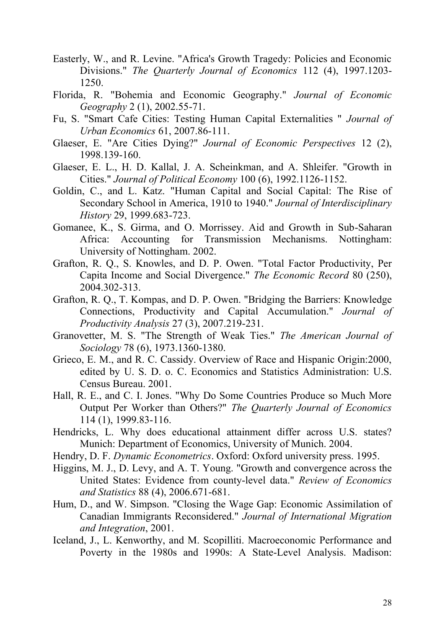- Easterly, W., and R. Levine. "Africa's Growth Tragedy: Policies and Economic Divisions." *The Quarterly Journal of Economics* 112 (4), 1997.1203- 1250.
- Florida, R. "Bohemia and Economic Geography." *Journal of Economic Geography* 2 (1), 2002.55-71.
- Fu, S. "Smart Cafe Cities: Testing Human Capital Externalities " *Journal of Urban Economics* 61, 2007.86-111.
- Glaeser, E. "Are Cities Dying?" *Journal of Economic Perspectives* 12 (2), 1998.139-160.
- Glaeser, E. L., H. D. Kallal, J. A. Scheinkman, and A. Shleifer. "Growth in Cities." *Journal of Political Economy* 100 (6), 1992.1126-1152.
- Goldin, C., and L. Katz. "Human Capital and Social Capital: The Rise of Secondary School in America, 1910 to 1940." *Journal of Interdisciplinary History* 29, 1999.683-723.
- Gomanee, K., S. Girma, and O. Morrissey. Aid and Growth in Sub-Saharan Africa: Accounting for Transmission Mechanisms. Nottingham: University of Nottingham. 2002.
- Grafton, R. Q., S. Knowles, and D. P. Owen. "Total Factor Productivity, Per Capita Income and Social Divergence." *The Economic Record* 80 (250), 2004.302-313.
- Grafton, R. Q., T. Kompas, and D. P. Owen. "Bridging the Barriers: Knowledge Connections, Productivity and Capital Accumulation." *Journal of Productivity Analysis* 27 (3), 2007.219-231.
- Granovetter, M. S. "The Strength of Weak Ties." *The American Journal of Sociology* 78 (6), 1973.1360-1380.
- Grieco, E. M., and R. C. Cassidy. Overview of Race and Hispanic Origin:2000, edited by U. S. D. o. C. Economics and Statistics Administration: U.S. Census Bureau. 2001.
- Hall, R. E., and C. I. Jones. "Why Do Some Countries Produce so Much More Output Per Worker than Others?" *The Quarterly Journal of Economics* 114 (1), 1999.83-116.
- Hendricks, L. Why does educational attainment differ across U.S. states? Munich: Department of Economics, University of Munich. 2004.
- Hendry, D. F. *Dynamic Econometrics*. Oxford: Oxford university press. 1995.
- Higgins, M. J., D. Levy, and A. T. Young. "Growth and convergence across the United States: Evidence from county-level data." *Review of Economics and Statistics* 88 (4), 2006.671-681.
- Hum, D., and W. Simpson. "Closing the Wage Gap: Economic Assimilation of Canadian Immigrants Reconsidered." *Journal of International Migration and Integration*, 2001.
- Iceland, J., L. Kenworthy, and M. Scopilliti. Macroeconomic Performance and Poverty in the 1980s and 1990s: A State-Level Analysis. Madison: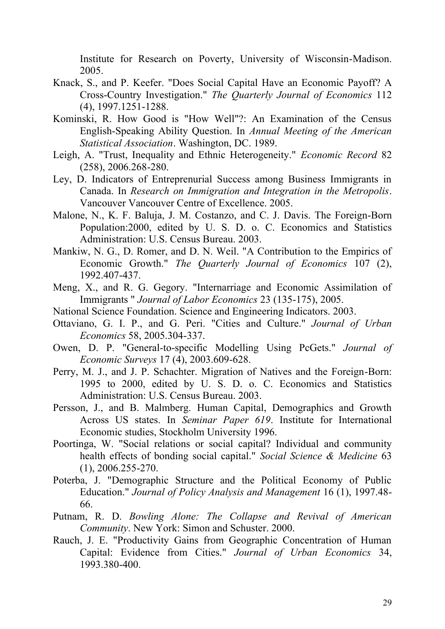Institute for Research on Poverty, University of Wisconsin-Madison. 2005.

- Knack, S., and P. Keefer. "Does Social Capital Have an Economic Payoff? A Cross-Country Investigation." *The Quarterly Journal of Economics* 112 (4), 1997.1251-1288.
- Kominski, R. How Good is "How Well"?: An Examination of the Census English-Speaking Ability Question. In *Annual Meeting of the American Statistical Association*. Washington, DC. 1989.
- Leigh, A. "Trust, Inequality and Ethnic Heterogeneity." *Economic Record* 82 (258), 2006.268-280.
- Ley, D. Indicators of Entreprenurial Success among Business Immigrants in Canada. In *Research on Immigration and Integration in the Metropolis*. Vancouver Vancouver Centre of Excellence. 2005.
- Malone, N., K. F. Baluja, J. M. Costanzo, and C. J. Davis. The Foreign-Born Population:2000, edited by U. S. D. o. C. Economics and Statistics Administration: U.S. Census Bureau. 2003.
- Mankiw, N. G., D. Romer, and D. N. Weil. "A Contribution to the Empirics of Economic Growth." *The Quarterly Journal of Economics* 107 (2), 1992.407-437.
- Meng, X., and R. G. Gegory. "Internarriage and Economic Assimilation of Immigrants " *Journal of Labor Economics* 23 (135-175), 2005.
- National Science Foundation. Science and Engineering Indicators. 2003.
- Ottaviano, G. I. P., and G. Peri. "Cities and Culture." *Journal of Urban Economics* 58, 2005.304-337.
- Owen, D. P. "General-to-specific Modelling Using PcGets." *Journal of Economic Surveys* 17 (4), 2003.609-628.
- Perry, M. J., and J. P. Schachter. Migration of Natives and the Foreign-Born: 1995 to 2000, edited by U. S. D. o. C. Economics and Statistics Administration: U.S. Census Bureau. 2003.
- Persson, J., and B. Malmberg. Human Capital, Demographics and Growth Across US states. In *Seminar Paper 619*. Institute for International Economic studies, Stockholm University 1996.
- Poortinga, W. "Social relations or social capital? Individual and community health effects of bonding social capital." *Social Science & Medicine* 63 (1), 2006.255-270.
- Poterba, J. "Demographic Structure and the Political Economy of Public Education." *Journal of Policy Analysis and Management* 16 (1), 1997.48- 66.
- Putnam, R. D. *Bowling Alone: The Collapse and Revival of American Community*. New York: Simon and Schuster. 2000.
- Rauch, J. E. "Productivity Gains from Geographic Concentration of Human Capital: Evidence from Cities." *Journal of Urban Economics* 34, 1993.380-400.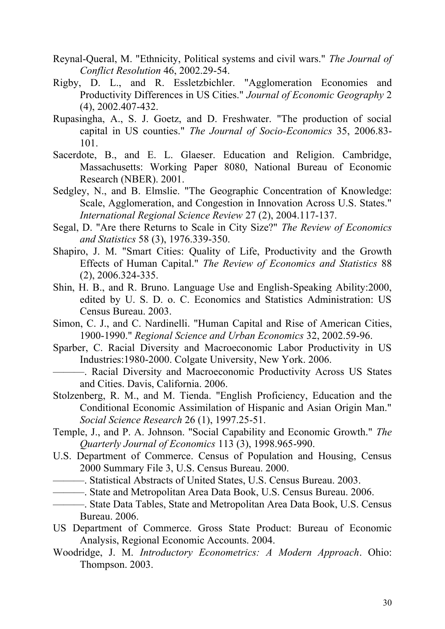- Reynal-Queral, M. "Ethnicity, Political systems and civil wars." *The Journal of Conflict Resolution* 46, 2002.29-54.
- Rigby, D. L., and R. Essletzbichler. "Agglomeration Economies and Productivity Differences in US Cities." *Journal of Economic Geography* 2 (4), 2002.407-432.
- Rupasingha, A., S. J. Goetz, and D. Freshwater. "The production of social capital in US counties." *The Journal of Socio-Economics* 35, 2006.83- 101.
- Sacerdote, B., and E. L. Glaeser. Education and Religion. Cambridge, Massachusetts: Working Paper 8080, National Bureau of Economic Research (NBER). 2001.
- Sedgley, N., and B. Elmslie. "The Geographic Concentration of Knowledge: Scale, Agglomeration, and Congestion in Innovation Across U.S. States." *International Regional Science Review* 27 (2), 2004.117-137.
- Segal, D. "Are there Returns to Scale in City Size?" *The Review of Economics and Statistics* 58 (3), 1976.339-350.
- Shapiro, J. M. "Smart Cities: Quality of Life, Productivity and the Growth Effects of Human Capital." *The Review of Economics and Statistics* 88 (2), 2006.324-335.
- Shin, H. B., and R. Bruno. Language Use and English-Speaking Ability:2000, edited by U. S. D. o. C. Economics and Statistics Administration: US Census Bureau. 2003.
- Simon, C. J., and C. Nardinelli. "Human Capital and Rise of American Cities, 1900-1990." *Regional Science and Urban Economics* 32, 2002.59-96.
- Sparber, C. Racial Diversity and Macroeconomic Labor Productivity in US Industries:1980-2000. Colgate University, New York. 2006.
- ———. Racial Diversity and Macroeconomic Productivity Across US States and Cities. Davis, California. 2006.
- Stolzenberg, R. M., and M. Tienda. "English Proficiency, Education and the Conditional Economic Assimilation of Hispanic and Asian Origin Man." *Social Science Research* 26 (1), 1997.25-51.
- Temple, J., and P. A. Johnson. "Social Capability and Economic Growth." *The Quarterly Journal of Economics* 113 (3), 1998.965-990.
- U.S. Department of Commerce. Census of Population and Housing, Census 2000 Summary File 3, U.S. Census Bureau. 2000.
	- ———. Statistical Abstracts of United States, U.S. Census Bureau. 2003.
	- ———. State and Metropolitan Area Data Book, U.S. Census Bureau. 2006.
- ———. State Data Tables, State and Metropolitan Area Data Book, U.S. Census Bureau. 2006.
- US Department of Commerce. Gross State Product: Bureau of Economic Analysis, Regional Economic Accounts. 2004.
- Woodridge, J. M. *Introductory Econometrics: A Modern Approach*. Ohio: Thompson. 2003.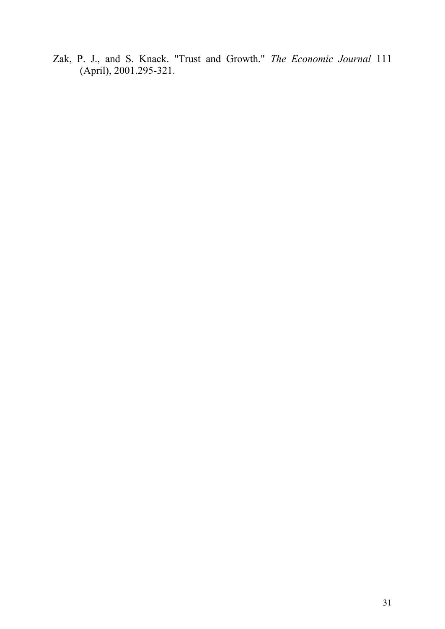Zak, P. J., and S. Knack. "Trust and Growth." *The Economic Journal* 111 (April), 2001.295-321.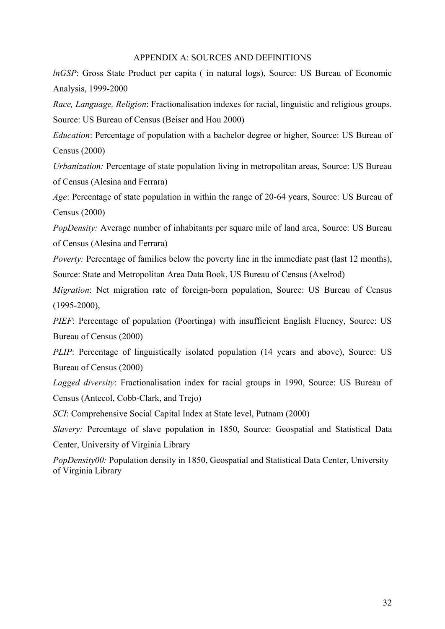#### APPENDIX A: SOURCES AND DEFINITIONS

*lnGSP*: Gross State Product per capita (in natural logs), Source: US Bureau of Economic Analysis, 1999-2000

*Race, Language, Religion*: Fractionalisation indexes for racial, linguistic and religious groups. Source: US Bureau of Census (Beiser and Hou 2000)

*Education*: Percentage of population with a bachelor degree or higher, Source: US Bureau of Census (2000)

*Urbanization:* Percentage of state population living in metropolitan areas, Source: US Bureau of Census (Alesina and Ferrara)

*Age*: Percentage of state population in within the range of 20-64 years, Source: US Bureau of Census (2000)

*PopDensity:* Average number of inhabitants per square mile of land area, Source: US Bureau of Census (Alesina and Ferrara)

*Poverty:* Percentage of families below the poverty line in the immediate past (last 12 months), Source: State and Metropolitan Area Data Book, US Bureau of Census (Axelrod)

*Migration*: Net migration rate of foreign-born population, Source: US Bureau of Census  $(1995 - 2000)$ ,

*PIEF*: Percentage of population (Poortinga) with insufficient English Fluency, Source: US Bureau of Census (2000)

*PLIP*: Percentage of linguistically isolated population (14 years and above), Source: US Bureau of Census (2000)

*Lagged diversity*: Fractionalisation index for racial groups in 1990, Source: US Bureau of Census (Antecol, Cobb-Clark, and Trejo)

*SCI*: Comprehensive Social Capital Index at State level, Putnam (2000)

*Slavery:* Percentage of slave population in 1850, Source: Geospatial and Statistical Data Center, University of Virginia Library

*PopDensity00:* Population density in 1850, Geospatial and Statistical Data Center, University of Virginia Library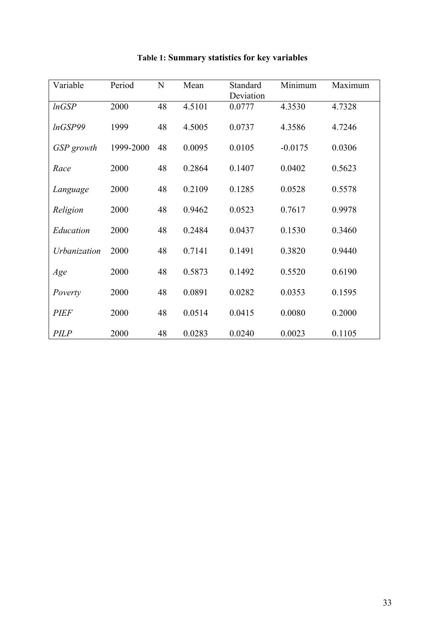| Variable     | Period    | $\mathbf N$ | Mean   | Standard<br>Deviation | Minimum   | Maximum |
|--------------|-----------|-------------|--------|-----------------------|-----------|---------|
| lnGSP        | 2000      | 48          | 4.5101 | 0.0777                | 4.3530    | 4.7328  |
| lnGSP99      | 1999      | 48          | 4.5005 | 0.0737                | 4.3586    | 4.7246  |
| GSP growth   | 1999-2000 | 48          | 0.0095 | 0.0105                | $-0.0175$ | 0.0306  |
| Race         | 2000      | 48          | 0.2864 | 0.1407                | 0.0402    | 0.5623  |
| Language     | 2000      | 48          | 0.2109 | 0.1285                | 0.0528    | 0.5578  |
| Religion     | 2000      | 48          | 0.9462 | 0.0523                | 0.7617    | 0.9978  |
| Education    | 2000      | 48          | 0.2484 | 0.0437                | 0.1530    | 0.3460  |
| Urbanization | 2000      | 48          | 0.7141 | 0.1491                | 0.3820    | 0.9440  |
| Age          | 2000      | 48          | 0.5873 | 0.1492                | 0.5520    | 0.6190  |
| Poverty      | 2000      | 48          | 0.0891 | 0.0282                | 0.0353    | 0.1595  |
| <b>PIEF</b>  | 2000      | 48          | 0.0514 | 0.0415                | 0.0080    | 0.2000  |
| <b>PILP</b>  | 2000      | 48          | 0.0283 | 0.0240                | 0.0023    | 0.1105  |

# **Table 1: Summary statistics for key variables**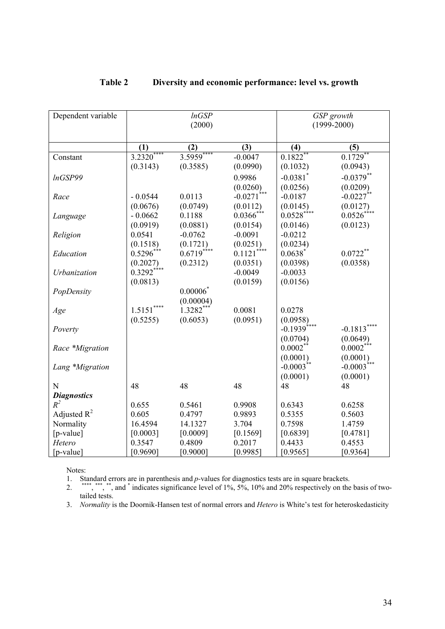| Dependent variable | lnGSP<br>(2000) |             |               | GSP growth<br>$(1999 - 2000)$ |                           |  |
|--------------------|-----------------|-------------|---------------|-------------------------------|---------------------------|--|
|                    | (1)             | (2)         | (3)           | (4)                           | (5)                       |  |
| Constant           | $3.2320***$     | 3.5959****  | $-0.0047$     | $0.1822**$                    | $0.1729$ **               |  |
|                    | (0.3143)        | (0.3585)    | (0.0990)      | (0.1032)                      | (0.0943)                  |  |
| InGSP99            |                 |             | 0.9986        | $-0.0381$ <sup>*</sup>        | $-0.0379**$               |  |
|                    |                 |             | (0.0260)      | (0.0256)                      | (0.0209)                  |  |
| Race               | $-0.0544$       | 0.0113      | $-0.0271$     | $-0.0187$                     | $-0.0227$ **              |  |
|                    | (0.0676)        | (0.0749)    | (0.0112)      | (0.0145)                      | (0.0127)                  |  |
| Language           | $-0.0662$       | 0.1188      | $0.0366$ ***  | $0.0528$ ****                 | $0.0526^*$                |  |
|                    | (0.0919)        | (0.0881)    | (0.0154)      | (0.0146)                      | (0.0123)                  |  |
| Religion           | 0.0541          | $-0.0762$   | $-0.0091$     | $-0.0212$                     |                           |  |
|                    | (0.1518)        | (0.1721)    | (0.0251)      | (0.0234)                      |                           |  |
| Education          | $0.5296***$     | $0.6719***$ | $0.1121$ **** | $0.0638$ <sup>*</sup>         | $0.0722**$                |  |
|                    | (0.2027)        | (0.2312)    | (0.0351)      | (0.0398)                      | (0.0358)                  |  |
| Urbanization       | $0.3292***$     |             | $-0.0049$     | $-0.0033$                     |                           |  |
|                    | (0.0813)        |             | (0.0159)      | (0.0156)                      |                           |  |
| PopDensity         |                 | $0.00006*$  |               |                               |                           |  |
|                    |                 | (0.00004)   |               |                               |                           |  |
| Age                | $1.5151***$     | $1.3282***$ | 0.0081        | 0.0278                        |                           |  |
|                    | (0.5255)        | (0.6053)    | (0.0951)      | (0.0958)                      |                           |  |
| Poverty            |                 |             |               | $-0.1939***$                  | $-0.1813***$              |  |
|                    |                 |             |               | (0.0704)                      | (0.0649)                  |  |
| Race *Migration    |                 |             |               | $0.0002$ **                   | $0.0002***$               |  |
|                    |                 |             |               | (0.0001)<br>$-0.0003**$       | (0.0001)<br>$-0.0003$ *** |  |
| Lang *Migration    |                 |             |               | (0.0001)                      | (0.0001)                  |  |
| N                  | 48              | 48          | 48            | 48                            | 48                        |  |
| <b>Diagnostics</b> |                 |             |               |                               |                           |  |
| $R^2$              | 0.655           | 0.5461      | 0.9908        | 0.6343                        | 0.6258                    |  |
| Adjusted $R^2$     | 0.605           | 0.4797      | 0.9893        | 0.5355                        | 0.5603                    |  |
| Normality          | 16.4594         | 14.1327     | 3.704         | 0.7598                        | 1.4759                    |  |
| $[p-value]$        | [0.0003]        | [0.0009]    | [0.1569]      | [0.6839]                      | [0.4781]                  |  |
| Hetero             | 0.3547          | 0.4809      | 0.2017        | 0.4433                        | 0.4553                    |  |
| $[p-value]$        | [0.9690]        | [0.9000]    | [0.9985]      | [0.9565]                      | [0.9364]                  |  |

## **Table 2 Diversity and economic performance: level vs. growth**

Notes:

1. Standard errors are in parenthesis and *p-*values for diagnostics tests are in square brackets.

2. \*\*\*\*, \*\*\*, \*\*, and \* indicates significance level of 1%, 5%, 10% and 20% respectively on the basis of twotailed tests.

3. *Normality* is the Doornik-Hansen test of normal errors and *Hetero* is White's test for heteroskedasticity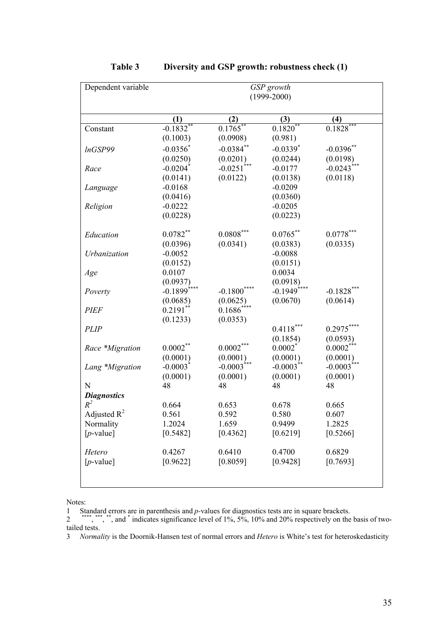| Dependent variable | GSP growth<br>$(1999 - 2000)$ |                          |                         |               |
|--------------------|-------------------------------|--------------------------|-------------------------|---------------|
|                    | (1)                           | (2)                      | (3)                     | (4)           |
| Constant           | $-0.1832$                     | $0.1765^{**}$            | $0.1820^{*}$            | $0.1828***$   |
|                    | (0.1003)                      | (0.0908)                 | (0.981)                 |               |
| InGSP99            | $-0.0356$ *                   | $-0.0384$ **             | $-0.0339$ <sup>*</sup>  | $-0.0396$ **  |
|                    | (0.0250)                      | (0.0201)                 | (0.0244)                | (0.0198)      |
| Race               | $-0.0204$ <sup>*</sup>        | $-0.0251$ <sup>***</sup> | $-0.0177$               | $-0.0243$ *** |
|                    | (0.0141)                      | (0.0122)                 | (0.0138)                | (0.0118)      |
| Language           | $-0.0168$                     |                          | $-0.0209$               |               |
|                    | (0.0416)                      |                          | (0.0360)                |               |
| Religion           | $-0.0222$                     |                          | $-0.0205$               |               |
|                    | (0.0228)                      |                          | (0.0223)                |               |
| Education          | $0.0782**$                    | $0.0808^{***}\,$         | $0.0765***$             | $0.0778***$   |
|                    | (0.0396)                      | (0.0341)                 | (0.0383)                | (0.0335)      |
| Urbanization       | $-0.0052$                     |                          | $-0.0088$               |               |
|                    | (0.0152)                      |                          | (0.0151)                |               |
| Age                | 0.0107                        |                          | 0.0034                  |               |
|                    | (0.0937)                      |                          | (0.0918)                |               |
| Poverty            | $-0.1899$ <sup>****</sup>     | $-0.1800$                | $-0.1949$ ****          | $-0.1828***$  |
|                    | (0.0685)                      | (0.0625)                 | (0.0670)                | (0.0614)      |
| <b>PIEF</b>        | $0.2191**$                    | $0.1686^*$               |                         |               |
|                    | (0.1233)                      | (0.0353)                 |                         |               |
| <b>PLIP</b>        |                               |                          | $0.4118***$             | $0.2975***$   |
|                    |                               |                          | (0.1854)                | (0.0593)      |
| Race *Migration    | $0.0002***$                   | $0.0002***$              | $0.0002^*$              | $0.0002***$   |
|                    | (0.0001)                      | (0.0001)                 | (0.0001)                | (0.0001)      |
| Lang *Migration    | $-0.0003$                     | $-0.0003$ <sup>***</sup> | $-0.0003$ <sup>**</sup> | $-0.0003$     |
|                    | (0.0001)                      | (0.0001)                 | (0.0001)                | (0.0001)      |
| N                  | 48                            | 48                       | 48                      | 48            |
| <b>Diagnostics</b> |                               |                          |                         |               |
| $R^2$              | 0.664                         | 0.653                    | 0.678                   | 0.665         |
| Adjusted $R^2$     | 0.561                         | 0.592                    | 0.580                   | 0.607         |
| Normality          | 1.2024                        | 1.659                    | 0.9499                  | 1.2825        |
| $[p$ -value]       | [0.5482]                      | [0.4362]                 | [0.6219]                | [0.5266]      |
| Hetero             | 0.4267                        | 0.6410                   | 0.4700                  | 0.6829        |
| $[p$ -value]       | [0.9622]                      | [0.8059]                 | [0.9428]                | [0.7693]      |
|                    |                               |                          |                         |               |

## **Table 3 Diversity and GSP growth: robustness check (1)**

Notes:

1 Standard errors are in parenthesis and *p-*values for diagnostics tests are in square brackets.

<sup>2</sup><sup>\*\*\*\*</sup>, \*\*\*, \*\*, and \* indicates significance level of 1%, 5%, 10% and 20% respectively on the basis of twotailed tests.

3 *Normality* is the Doornik-Hansen test of normal errors and *Hetero* is White's test for heteroskedasticity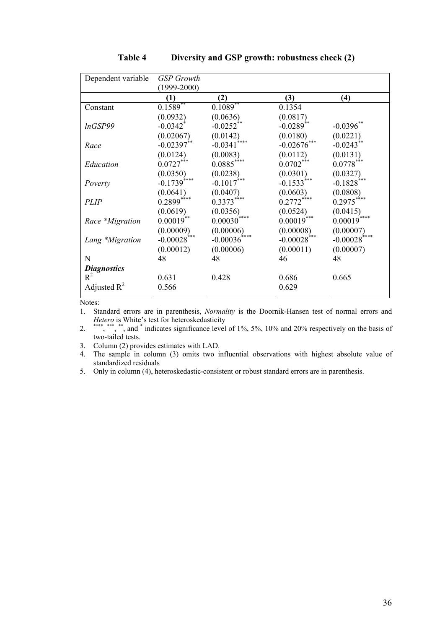| Dependent variable | <b>GSP</b> Growth         |                          |                           |                          |
|--------------------|---------------------------|--------------------------|---------------------------|--------------------------|
|                    | $(1999 - 2000)$           |                          |                           |                          |
|                    | (1)                       | (2)                      | (3)                       | $\bf(4)$                 |
| Constant           | $0.1589**$                | $0.1089**$               | 0.1354                    |                          |
|                    | (0.0932)                  | (0.0636)                 | (0.0817)                  |                          |
| lnGSP99            | $-0.0342$ <sup>*</sup>    | $-0.0252**$              | $-0.0289**$               | $-0.0396**$              |
|                    | (0.02067)                 | (0.0142)                 | (0.0180)                  | (0.0221)                 |
| Race               | $-0.02397**$              | ****<br>$-0.0341$        | ***<br>$-0.02676$         | $-0.0243$ <sup>*</sup>   |
|                    | (0.0124)                  | (0.0083)                 | (0.0112)                  | (0.0131)                 |
| Education          | $0.0727***$               | $0.0885***$              | $0.0702***$               | $0.0778***$              |
|                    | (0.0350)                  | (0.0238)                 |                           | (0.0327)                 |
| Poverty            | $-0.1739$ <sup>****</sup> | $-0.1017$ <sup>***</sup> | $(0.0301)$<br>-0.1533***  | $-0.1828$ <sup>***</sup> |
|                    | (0.0641)                  | (0.0407)                 | (0.0603)                  | (0.0808)                 |
| <b>PLIP</b>        | $0.2899***$               | $0.3373***$              | $0.2772***$               | $0.2975***$              |
|                    | (0.0619)                  | (0.0356)                 | (0.0524)                  | (0.0415)                 |
| Race *Migration    | $0.00019**$               | ****<br>$0.00030^{7}$    | $0.00019$ ***             | $0.00019***$             |
|                    | (0.00009)                 | (0.00006)                | (0.00008)                 | (0.00007)                |
| Lang *Migration    | $-0.00028$ ***            | $-0.00036$ ****          | $-0.00028$ <sup>***</sup> | $-0.00028$ ****          |
|                    | (0.00012)                 | (0.00006)                | (0.00011)                 | (0.00007)                |
| N                  | 48                        | 48                       | 46                        | 48                       |
| <b>Diagnostics</b> |                           |                          |                           |                          |
| $R^2$              | 0.631                     | 0.428                    | 0.686                     | 0.665                    |
| Adjusted $R^2$     | 0.566                     |                          | 0.629                     |                          |

**Table 4 Diversity and GSP growth: robustness check (2)**

Notes:

1. Standard errors are in parenthesis, *Normality* is the Doornik-Hansen test of normal errors and *Hetero* is White's test for heteroskedasticity

2. \*\*\*\*, \*\*\*, \*\*, and \* indicates significance level of  $1\%$ ,  $5\%$ ,  $10\%$  and  $20\%$  respectively on the basis of two-tailed tests.

3. Column (2) provides estimates with LAD.

4. The sample in column (3) omits two influential observations with highest absolute value of standardized residuals

5. Only in column (4), heteroskedastic-consistent or robust standard errors are in parenthesis.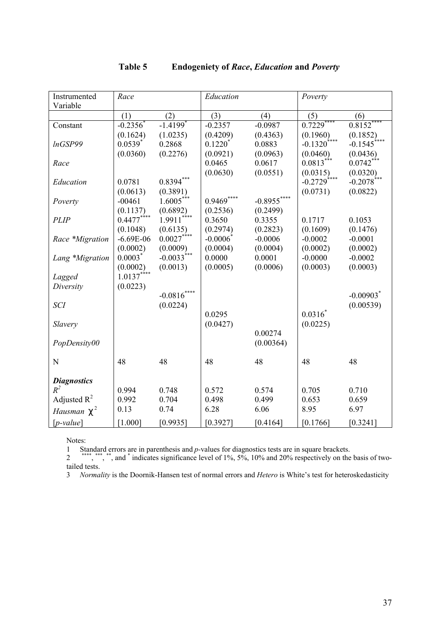| Instrumented       | Race                  |                          | Education              |              | Poverty                   |                         |
|--------------------|-----------------------|--------------------------|------------------------|--------------|---------------------------|-------------------------|
| Variable           |                       |                          |                        |              |                           |                         |
|                    | (1)                   | (2)                      | (3)                    | (4)          | (5)                       | (6)                     |
| Constant           | $-0.2356^*$           | $-1.4199*$               | $-0.2357$              | $-0.0987$    | $0.7229***$               | $0.8152***$             |
|                    | (0.1624)              | (1.0235)                 | (0.4209)               | (0.4363)     | (0.1960)                  | (0.1852)                |
| InGSP99            | $0.0539$ <sup>*</sup> | 0.2868                   | $0.1220^*$             | 0.0883       | $-0.1320$ <sup>****</sup> | $-0.1545$               |
|                    | (0.0360)              | (0.2276)                 | (0.0921)               | (0.0963)     | (0.0460)                  | (0.0436)                |
| Race               |                       |                          | 0.0465                 | 0.0617       | $0.0813***$               | $0.0742***$             |
|                    |                       |                          | (0.0630)               | (0.0551)     | (0.0315)                  | (0.0320)                |
| Education          | 0.0781                | $0.8394***$              |                        |              | $-0.2729$ ****            | $-0.2078$ ***           |
|                    | (0.0613)              | (0.3891)                 |                        |              | (0.0731)                  | (0.0822)                |
| Poverty            | $-00461$              | $1.6005***$              | $0.9469***$            | $-0.8955***$ |                           |                         |
|                    | (0.1137)              | (0.6892)                 | (0.2536)               | (0.2499)     |                           |                         |
| <b>PLIP</b>        | $0.4477***$           | ****<br>1.9911           | 0.3650                 | 0.3355       | 0.1717                    | 0.1053                  |
|                    | (0.1048)              | (0.6135)                 | (0.2974)               | (0.2823)     | (0.1609)                  | (0.1476)                |
| Race *Migration    | $-6.69E-06$           | $0.0027***$              | $-0.0006$ <sup>*</sup> | $-0.0006$    | $-0.0002$                 | $-0.0001$               |
|                    | (0.0002)              | (0.0009)                 | (0.0004)               | (0.0004)     | (0.0002)                  | (0.0002)                |
| Lang *Migration    | $0.0003$ <sup>*</sup> | $-0.0033$ <sup>***</sup> | 0.0000                 | 0.0001       | $-0.0000$                 | $-0.0002$               |
|                    | (0.0002)              | (0.0013)                 | (0.0005)               | (0.0006)     | (0.0003)                  | (0.0003)                |
| Lagged             | $1.0137***$           |                          |                        |              |                           |                         |
| Diversity          | (0.0223)              |                          |                        |              |                           |                         |
|                    |                       | $-0.0816***$             |                        |              |                           | $-0.00903$ <sup>*</sup> |
| <b>SCI</b>         |                       | (0.0224)                 |                        |              |                           | (0.00539)               |
|                    |                       |                          | 0.0295                 |              | $0.0316^*$                |                         |
| Slavery            |                       |                          | (0.0427)               |              | (0.0225)                  |                         |
|                    |                       |                          |                        | 0.00274      |                           |                         |
| PopDensity00       |                       |                          |                        | (0.00364)    |                           |                         |
|                    |                       |                          |                        |              |                           |                         |
| N                  | 48                    | 48                       | 48                     | 48           | 48                        | 48                      |
|                    |                       |                          |                        |              |                           |                         |
| <b>Diagnostics</b> |                       |                          |                        |              |                           |                         |
| $R^2$              | 0.994                 | 0.748                    | 0.572                  | 0.574        | 0.705                     | 0.710                   |
| Adjusted $R^2$     | 0.992                 | 0.704                    | 0.498                  | 0.499        | 0.653                     | 0.659                   |
| Hausman $C^2$      | 0.13                  | 0.74                     | 6.28                   | 6.06         | 8.95                      | 6.97                    |
| $[p-value]$        | [1.000]               | [0.9935]                 | [0.3927]               | [0.4164]     | [0.1766]                  | [0.3241]                |

## **Table 5 Endogeniety of** *Race***,** *Education* **and** *Poverty*

Notes:

1 Standard errors are in parenthesis and *p-*values for diagnostics tests are in square brackets.

<sup>2</sup><sup>\*\*\*\*</sup>, \*\*\*, \*\*, and \* indicates significance level of 1%, 5%, 10% and 20% respectively on the basis of twotailed tests.

3 *Normality* is the Doornik-Hansen test of normal errors and *Hetero* is White's test for heteroskedasticity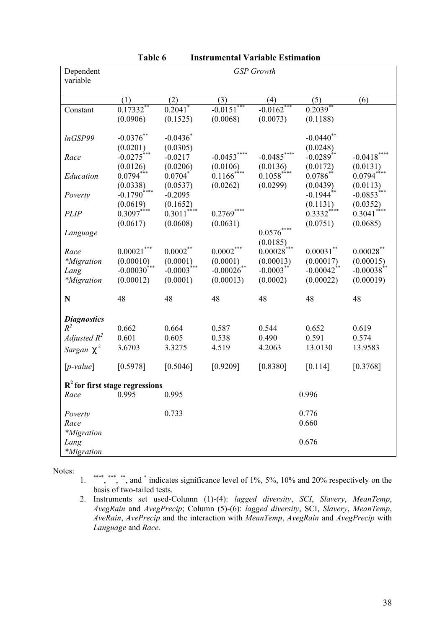| Dependent                        | <b>GSP</b> Growth         |                          |                          |                           |                          |                          |
|----------------------------------|---------------------------|--------------------------|--------------------------|---------------------------|--------------------------|--------------------------|
| variable                         |                           |                          |                          |                           |                          |                          |
|                                  | (1)                       | (2)                      | (3)                      | (4)                       | (5)                      | (6)                      |
| Constant                         | $0.17332$ **              | $0.2041$ <sup>*</sup>    | $-0.0151***$             | $-0.0162***$              | 0.2039                   |                          |
|                                  | (0.0906)                  | (0.1525)                 | (0.0068)                 | (0.0073)                  | (0.1188)                 |                          |
| lnGSP99                          | $-0.0376**$               | $-0.0436$                |                          |                           | $-0.0440$ **             |                          |
|                                  | (0.0201)                  | (0.0305)                 |                          |                           | (0.0248)                 |                          |
| Race                             | $-0.0275$ ***             | $-0.0217$                | $-0.0453***$             | $-0.0485***$              | $-0.0289**$              | $-0.0418***$             |
|                                  | (0.0126)                  | (0.0206)                 | (0.0106)                 | (0.0136)                  | (0.0172)                 | (0.0131)                 |
| Education                        | $0.0794***$               | $0.0704$ *               | $0.1166$ <sup>****</sup> | $0.1058$ <sup>****</sup>  | $0.0786*$                | $0.0794***$              |
|                                  | (0.0338)                  | (0.0537)                 | (0.0262)                 | (0.0299)                  | (0.0439)                 | (0.0113)                 |
| Poverty                          | $-0.1790$ ****            | $-0.2095$                |                          |                           | $-0.1944$ **             | $-0.0853***$             |
|                                  | (0.0619)                  | (0.1652)                 |                          |                           | (0.1131)                 | (0.0352)                 |
| <b>PLIP</b>                      | $0.3097***$               | $0.3011$ ****            | $0.2769***$              |                           | $0.3332***$              | $0.3041$ ****            |
|                                  | (0.0617)                  | (0.0608)                 | (0.0631)                 | $0.0576***$               | (0.0751)                 | (0.0685)                 |
| Language                         |                           |                          |                          |                           |                          |                          |
| Race                             | $0.00021***$              | $0.0002***$              | $0.0002***$              | (0.0185)<br>$0.00028$ *** | $0.00031$ **             | $0.00028$ **             |
| <i>*Migration</i>                | (0.00010)                 | (0.0001)                 | (0.0001)                 | (0.00013)                 | (0.00017)                | (0.00015)                |
| Lang                             | $-0.00030$ <sup>***</sup> | $-0.0003$ <sup>***</sup> | $-0.00026$ **            | $-0.0003$ **              | $-0.00042$ <sup>**</sup> | $-0.00038$ <sup>**</sup> |
| <i>*Migration</i>                | (0.00012)                 | (0.0001)                 | (0.00013)                | (0.0002)                  | (0.00022)                | (0.00019)                |
|                                  |                           |                          |                          |                           |                          |                          |
| $\mathbf N$                      | 48                        | 48                       | 48                       | 48                        | 48                       | 48                       |
| <b>Diagnostics</b>               |                           |                          |                          |                           |                          |                          |
| $R^2$                            | 0.662                     | 0.664                    | 0.587                    | 0.544                     | 0.652                    | 0.619                    |
| Adjusted $R^2$                   | 0.601                     | 0.605                    | 0.538                    | 0.490                     | 0.591                    | 0.574                    |
| Sargan $C^2$                     | 3.6703                    | 3.3275                   | 4.519                    | 4.2063                    | 13.0130                  | 13.9583                  |
| $[p-value]$                      | [0.5978]                  | [0.5046]                 | [0.9209]                 | [0.8380]                  | [0.114]                  | [0.3768]                 |
| $R2$ for first stage regressions |                           |                          |                          |                           |                          |                          |
| Race                             | 0.995                     | 0.995                    |                          |                           | 0.996                    |                          |
| Poverty                          |                           | 0.733                    |                          |                           | 0.776                    |                          |
| Race                             |                           |                          |                          |                           | 0.660                    |                          |
| <i>*Migration</i>                |                           |                          |                          |                           |                          |                          |
| Lang                             |                           |                          |                          |                           | 0.676                    |                          |
| <i>*Migration</i>                |                           |                          |                          |                           |                          |                          |

| <b>Table 6</b> |  | <b>Instrumental Variable Estimation</b> |
|----------------|--|-----------------------------------------|
|----------------|--|-----------------------------------------|

Notes:

1. \*\*\*\*, \*\*\*, \*\*, and \* indicates significance level of 1%, 5%, 10% and 20% respectively on the basis of two-tailed tests.

2. Instruments set used-Column (1)-(4): *lagged diversity*, *SCI*, *Slavery*, *MeanTemp*, *AvegRain* and *AvegPrecip*; Column (5)-(6): *lagged diversity*, SCI, *Slavery*, *MeanTemp*, *AveRain*, *AvePrecip* and the interaction with *MeanTemp*, *AvegRain* and *AvegPrecip* with *Language* and *Race.*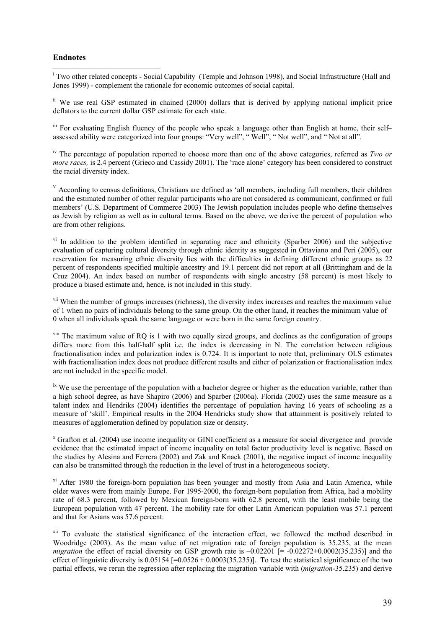#### **Endnotes**

 $\overline{a}$ <sup>i</sup> Two other related concepts - Social Capability (Temple and Johnson 1998), and Social Infrastructure (Hall and Jones 1999) - complement the rationale for economic outcomes of social capital.

ii We use real GSP estimated in chained (2000) dollars that is derived by applying national implicit price deflators to the current dollar GSP estimate for each state.

iii For evaluating English fluency of the people who speak a language other than English at home, their self– assessed ability were categorized into four groups: "Very well", " Well", " Not well", and " Not at all".

iv The percentage of population reported to choose more than one of the above categories, referred as *Two or more races,* is 2.4 percent (Grieco and Cassidy 2001). The 'race alone' category has been considered to construct the racial diversity index.

<sup>v</sup> According to census definitions, Christians are defined as 'all members, including full members, their children and the estimated number of other regular participants who are not considered as communicant, confirmed or full members' (U.S. Department of Commerce 2003) The Jewish population includes people who define themselves as Jewish by religion as well as in cultural terms. Based on the above, we derive the percent of population who are from other religions.

<sup>vi</sup> In addition to the problem identified in separating race and ethnicity (Sparber 2006) and the subjective evaluation of capturing cultural diversity through ethnic identity as suggested in Ottaviano and Peri (2005), our reservation for measuring ethnic diversity lies with the difficulties in defining different ethnic groups as 22 percent of respondents specified multiple ancestry and 19.1 percent did not report at all (Brittingham and de la Cruz 2004). An index based on number of respondents with single ancestry (58 percent) is most likely to produce a biased estimate and, hence, is not included in this study.

<sup>vii</sup> When the number of groups increases (richness), the diversity index increases and reaches the maximum value of 1 when no pairs of individuals belong to the same group. On the other hand, it reaches the minimum value of 0 when all individuals speak the same language or were born in the same foreign country.

<sup>viii</sup> The maximum value of RQ is 1 with two equally sized groups, and declines as the configuration of groups differs more from this half-half split i.e. the index is decreasing in N. The correlation between religious fractionalisation index and polarization index is 0.724. It is important to note that, preliminary OLS estimates with fractionalisation index does not produce different results and either of polarization or fractionalisation index are not included in the specific model.

 $\dot{x}$  We use the percentage of the population with a bachelor degree or higher as the education variable, rather than a high school degree, as have Shapiro (2006) and Sparber (2006a). Florida (2002) uses the same measure as a talent index and Hendriks (2004) identifies the percentage of population having 16 years of schooling as a measure of 'skill'. Empirical results in the 2004 Hendricks study show that attainment is positively related to measures of agglomeration defined by population size or density.

<sup>x</sup> Grafton et al. (2004) use income inequality or GINI coefficient as a measure for social divergence and provide evidence that the estimated impact of income inequality on total factor productivity level is negative. Based on the studies by Alesina and Ferrera (2002) and Zak and Knack (2001), the negative impact of income inequality can also be transmitted through the reduction in the level of trust in a heterogeneous society.

 $\frac{x_i}{x_i}$  After 1980 the foreign-born population has been younger and mostly from Asia and Latin America, while older waves were from mainly Europe. For 1995-2000, the foreign-born population from Africa, had a mobility rate of 68.3 percent, followed by Mexican foreign-born with 62.8 percent, with the least mobile being the European population with 47 percent. The mobility rate for other Latin American population was 57.1 percent and that for Asians was 57.6 percent.

<sup>xii</sup> To evaluate the statistical significance of the interaction effect, we followed the method described in Woodridge (2003). As the mean value of net migration rate of foreign population is 35.235, at the mean *migration* the effect of racial diversity on GSP growth rate is  $-0.02201$  [=  $-0.02272+0.0002(35.235)$ ] and the effect of linguistic diversity is  $0.05154$  [=0.0526 + 0.0003(35.235)]. To test the statistical significance of the two partial effects, we rerun the regression after replacing the migration variable with (*migration*-35.235) and derive